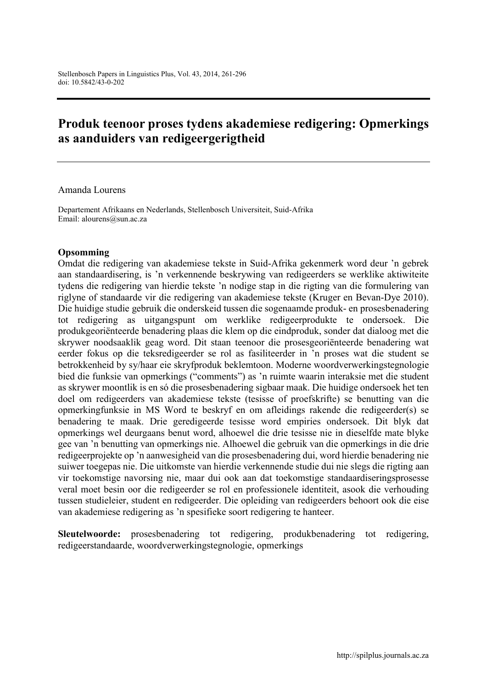# Produk teenoor proses tydens akademiese redigering: Opmerkings as aanduiders van redigeergerigtheid

#### Amanda Lourens

Departement Afrikaans en Nederlands, Stellenbosch Universiteit, Suid-Afrika Email: [alourens@sun.ac.za](mailto:alourens@sun.ac.za)

#### Opsomming

Omdat die redigering van akademiese tekste in Suid-Afrika gekenmerk word deur 'n gebrek aan standaardisering, is 'n verkennende beskrywing van redigeerders se werklike aktiwiteite tydens die redigering van hierdie tekste 'n nodige stap in die rigting van die formulering van riglyne of standaarde vir die redigering van akademiese tekste (Kruger en Bevan-Dye 2010). Die huidige studie gebruik die onderskeid tussen die sogenaamde produk- en prosesbenadering tot redigering as uitgangspunt om werklike redigeerprodukte te ondersoek. Die produkgeoriënteerde benadering plaas die klem op die eindproduk, sonder dat dialoog met die skrywer noodsaaklik geag word. Dit staan teenoor die prosesgeoriënteerde benadering wat eerder fokus op die teksredigeerder se rol as fasiliteerder in 'n proses wat die student se betrokkenheid by sy/haar eie skryfproduk beklemtoon. Moderne woordverwerkingstegnologie bied die funksie van opmerkings ("comments") as 'n ruimte waarin interaksie met die student as skrywer moontlik is en só die prosesbenadering sigbaar maak. Die huidige ondersoek het ten doel om redigeerders van akademiese tekste (tesisse of proefskrifte) se benutting van die opmerkingfunksie in MS Word te beskryf en om afleidings rakende die redigeerder(s) se benadering te maak. Drie geredigeerde tesisse word empiries ondersoek. Dit blyk dat opmerkings wel deurgaans benut word, alhoewel die drie tesisse nie in dieselfde mate blyke gee van 'n benutting van opmerkings nie. Alhoewel die gebruik van die opmerkings in die drie redigeerprojekte op 'n aanwesigheid van die prosesbenadering dui, word hierdie benadering nie suiwer toegepas nie. Die uitkomste van hierdie verkennende studie dui nie slegs die rigting aan vir toekomstige navorsing nie, maar dui ook aan dat toekomstige standaardiseringsprosesse veral moet besin oor die redigeerder se rol en professionele identiteit, asook die verhouding tussen studieleier, student en redigeerder. Die opleiding van redigeerders behoort ook die eise van akademiese redigering as 'n spesifieke soort redigering te hanteer.

Sleutelwoorde: prosesbenadering tot redigering, produkbenadering tot redigering, redigeerstandaarde, woordverwerkingstegnologie, opmerkings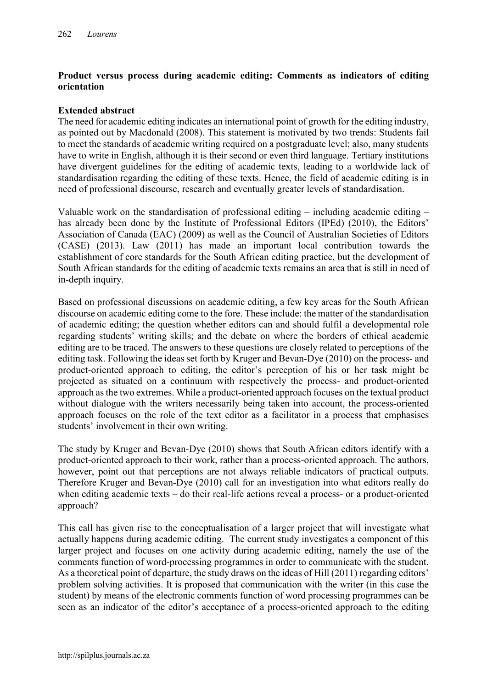### Product versus process during academic editing: Comments as indicators of editing orientation

### Extended abstract

The need for academic editing indicates an international point of growth for the editing industry, as pointed out by Macdonald (2008). This statement is motivated by two trends: Students fail to meet the standards of academic writing required on a postgraduate level; also, many students have to write in English, although it is their second or even third language. Tertiary institutions have divergent guidelines for the editing of academic texts, leading to a worldwide lack of standardisation regarding the editing of these texts. Hence, the field of academic editing is in need of professional discourse, research and eventually greater levels of standardisation.

Valuable work on the standardisation of professional editing – including academic editing – has already been done by the Institute of Professional Editors (IPEd) (2010), the Editors' Association of Canada (EAC) (2009) as well as the Council of Australian Societies of Editors (CASE) (2013). Law (2011) has made an important local contribution towards the establishment of core standards for the South African editing practice, but the development of South African standards for the editing of academic texts remains an area that is still in need of in-depth inquiry.

Based on professional discussions on academic editing, a few key areas for the South African discourse on academic editing come to the fore. These include: the matter of the standardisation of academic editing; the question whether editors can and should fulfil a developmental role regarding students' writing skills; and the debate on where the borders of ethical academic editing are to be traced. The answers to these questions are closely related to perceptions of the editing task. Following the ideas set forth by Kruger and Bevan-Dye (2010) on the process- and product-oriented approach to editing, the editor's perception of his or her task might be projected as situated on a continuum with respectively the process- and product-oriented approach as the two extremes. While a product-oriented approach focuses on the textual product without dialogue with the writers necessarily being taken into account, the process-oriented approach focuses on the role of the text editor as a facilitator in a process that emphasises students' involvement in their own writing.

The study by Kruger and Bevan-Dye (2010) shows that South African editors identify with a product-oriented approach to their work, rather than a process-oriented approach. The authors, however, point out that perceptions are not always reliable indicators of practical outputs. Therefore Kruger and Bevan-Dye (2010) call for an investigation into what editors really do when editing academic texts – do their real-life actions reveal a process- or a product-oriented approach?

This call has given rise to the conceptualisation of a larger project that will investigate what actually happens during academic editing. The current study investigates a component of this larger project and focuses on one activity during academic editing, namely the use of the comments function of word-processing programmes in order to communicate with the student. As a theoretical point of departure, the study draws on the ideas of Hill (2011) regarding editors' problem solving activities. It is proposed that communication with the writer (in this case the student) by means of the electronic comments function of word processing programmes can be seen as an indicator of the editor's acceptance of a process-oriented approach to the editing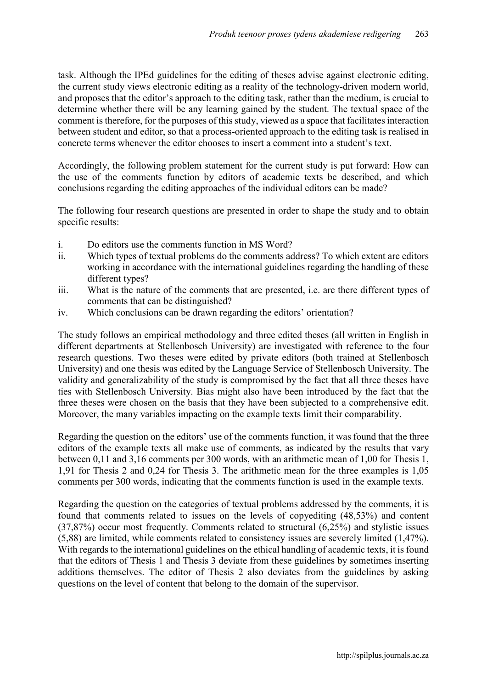task. Although the IPEd guidelines for the editing of theses advise against electronic editing, the current study views electronic editing as a reality of the technology-driven modern world, and proposes that the editor's approach to the editing task, rather than the medium, is crucial to determine whether there will be any learning gained by the student. The textual space of the comment is therefore, for the purposes of this study, viewed as a space that facilitates interaction between student and editor, so that a process-oriented approach to the editing task is realised in concrete terms whenever the editor chooses to insert a comment into a student's text.

Accordingly, the following problem statement for the current study is put forward: How can the use of the comments function by editors of academic texts be described, and which conclusions regarding the editing approaches of the individual editors can be made?

The following four research questions are presented in order to shape the study and to obtain specific results:

- i. Do editors use the comments function in MS Word?
- ii. Which types of textual problems do the comments address? To which extent are editors working in accordance with the international guidelines regarding the handling of these different types?
- iii. What is the nature of the comments that are presented, i.e. are there different types of comments that can be distinguished?
- iv. Which conclusions can be drawn regarding the editors' orientation?

The study follows an empirical methodology and three edited theses (all written in English in different departments at Stellenbosch University) are investigated with reference to the four research questions. Two theses were edited by private editors (both trained at Stellenbosch University) and one thesis was edited by the Language Service of Stellenbosch University. The validity and generalizability of the study is compromised by the fact that all three theses have ties with Stellenbosch University. Bias might also have been introduced by the fact that the three theses were chosen on the basis that they have been subjected to a comprehensive edit. Moreover, the many variables impacting on the example texts limit their comparability.

Regarding the question on the editors' use of the comments function, it was found that the three editors of the example texts all make use of comments, as indicated by the results that vary between 0,11 and 3,16 comments per 300 words, with an arithmetic mean of 1,00 for Thesis 1, 1,91 for Thesis 2 and 0,24 for Thesis 3. The arithmetic mean for the three examples is 1,05 comments per 300 words, indicating that the comments function is used in the example texts.

Regarding the question on the categories of textual problems addressed by the comments, it is found that comments related to issues on the levels of copyediting (48,53%) and content (37,87%) occur most frequently. Comments related to structural (6,25%) and stylistic issues (5,88) are limited, while comments related to consistency issues are severely limited (1,47%). With regards to the international guidelines on the ethical handling of academic texts, it is found that the editors of Thesis 1 and Thesis 3 deviate from these guidelines by sometimes inserting additions themselves. The editor of Thesis 2 also deviates from the guidelines by asking questions on the level of content that belong to the domain of the supervisor.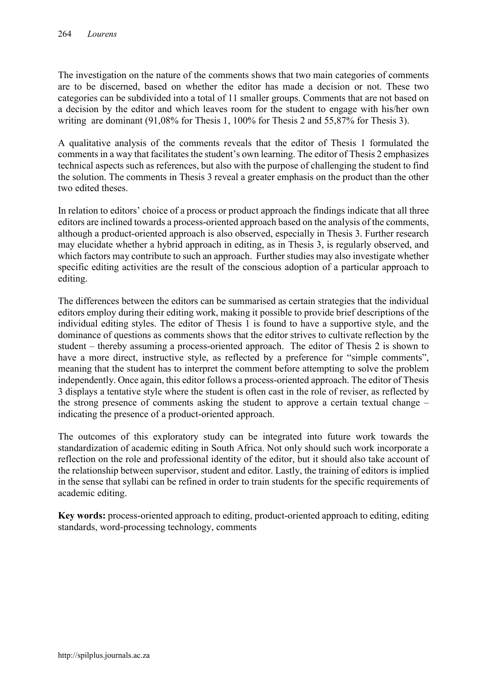The investigation on the nature of the comments shows that two main categories of comments are to be discerned, based on whether the editor has made a decision or not. These two categories can be subdivided into a total of 11 smaller groups. Comments that are not based on a decision by the editor and which leaves room for the student to engage with his/her own writing are dominant (91,08% for Thesis 1, 100% for Thesis 2 and 55,87% for Thesis 3).

A qualitative analysis of the comments reveals that the editor of Thesis 1 formulated the comments in a way that facilitates the student's own learning. The editor of Thesis 2 emphasizes technical aspects such as references, but also with the purpose of challenging the student to find the solution. The comments in Thesis 3 reveal a greater emphasis on the product than the other two edited theses.

In relation to editors' choice of a process or product approach the findings indicate that all three editors are inclined towards a process-oriented approach based on the analysis of the comments, although a product-oriented approach is also observed, especially in Thesis 3. Further research may elucidate whether a hybrid approach in editing, as in Thesis 3, is regularly observed, and which factors may contribute to such an approach. Further studies may also investigate whether specific editing activities are the result of the conscious adoption of a particular approach to editing.

The differences between the editors can be summarised as certain strategies that the individual editors employ during their editing work, making it possible to provide brief descriptions of the individual editing styles. The editor of Thesis 1 is found to have a supportive style, and the dominance of questions as comments shows that the editor strives to cultivate reflection by the student – thereby assuming a process-oriented approach. The editor of Thesis 2 is shown to have a more direct, instructive style, as reflected by a preference for "simple comments", meaning that the student has to interpret the comment before attempting to solve the problem independently. Once again, this editor follows a process-oriented approach. The editor of Thesis 3 displays a tentative style where the student is often cast in the role of reviser, as reflected by the strong presence of comments asking the student to approve a certain textual change – indicating the presence of a product-oriented approach.

The outcomes of this exploratory study can be integrated into future work towards the standardization of academic editing in South Africa. Not only should such work incorporate a reflection on the role and professional identity of the editor, but it should also take account of the relationship between supervisor, student and editor. Lastly, the training of editors is implied in the sense that syllabi can be refined in order to train students for the specific requirements of academic editing.

Key words: process-oriented approach to editing, product-oriented approach to editing, editing standards, word-processing technology, comments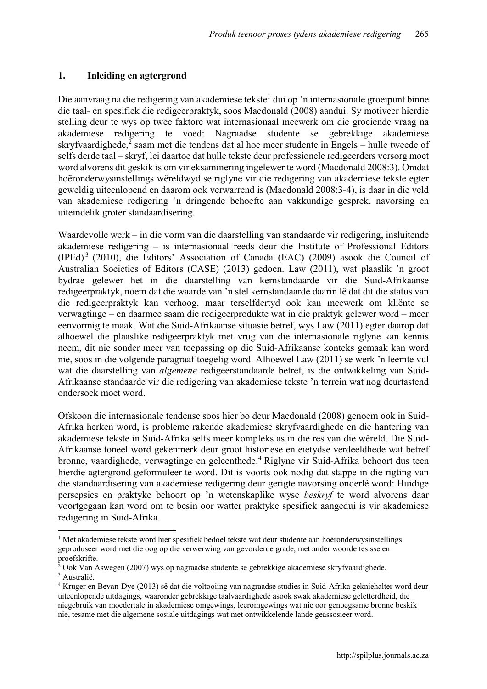### 1. Inleiding en agtergrond

1

Die aanvraag na die redigering van akademiese tekste<sup>1</sup> dui op 'n internasionale groeipunt binne die taal- en spesifiek die redigeerpraktyk, soos Macdonald (2008) aandui. Sy motiveer hierdie stelling deur te wys op twee faktore wat internasionaal meewerk om die groeiende vraag na akademiese redigering te voed: Nagraadse studente se gebrekkige akademiese skryfvaardighede, $\frac{2}{3}$  saam met die tendens dat al hoe meer studente in Engels – hulle tweede of selfs derde taal – skryf, lei daartoe dat hulle tekste deur professionele redigeerders versorg moet word alvorens dit geskik is om vir eksaminering ingelewer te word (Macdonald 2008:3). Omdat hoëronderwysinstellings wêreldwyd se riglyne vir die redigering van akademiese tekste egter geweldig uiteenlopend en daarom ook verwarrend is (Macdonald 2008:3-4), is daar in die veld van akademiese redigering 'n dringende behoefte aan vakkundige gesprek, navorsing en uiteindelik groter standaardisering.

Waardevolle werk – in die vorm van die daarstelling van standaarde vir redigering, insluitende akademiese redigering – is internasionaal reeds deur die Institute of Professional Editors (IPEd) <sup>3</sup> (2010), die Editors' Association of Canada (EAC) (2009) asook die Council of Australian Societies of Editors (CASE) (2013) gedoen. Law (2011), wat plaaslik 'n groot bydrae gelewer het in die daarstelling van kernstandaarde vir die Suid-Afrikaanse redigeerpraktyk, noem dat die waarde van 'n stel kernstandaarde daarin lê dat dit die status van die redigeerpraktyk kan verhoog, maar terselfdertyd ook kan meewerk om kliënte se verwagtinge – en daarmee saam die redigeerprodukte wat in die praktyk gelewer word – meer eenvormig te maak. Wat die Suid-Afrikaanse situasie betref, wys Law (2011) egter daarop dat alhoewel die plaaslike redigeerpraktyk met vrug van die internasionale riglyne kan kennis neem, dit nie sonder meer van toepassing op die Suid-Afrikaanse konteks gemaak kan word nie, soos in die volgende paragraaf toegelig word. Alhoewel Law (2011) se werk 'n leemte vul wat die daarstelling van *algemene* redigeerstandaarde betref, is die ontwikkeling van Suid-Afrikaanse standaarde vir die redigering van akademiese tekste 'n terrein wat nog deurtastend ondersoek moet word.

Ofskoon die internasionale tendense soos hier bo deur Macdonald (2008) genoem ook in Suid-Afrika herken word, is probleme rakende akademiese skryfvaardighede en die hantering van akademiese tekste in Suid-Afrika selfs meer kompleks as in die res van die wêreld. Die Suid-Afrikaanse toneel word gekenmerk deur groot historiese en eietydse verdeeldhede wat betref bronne, vaardighede, verwagtinge en geleenthede.<sup>4</sup> Riglyne vir Suid-Afrika behoort dus teen hierdie agtergrond geformuleer te word. Dit is voorts ook nodig dat stappe in die rigting van die standaardisering van akademiese redigering deur gerigte navorsing onderlê word: Huidige persepsies en praktyke behoort op 'n wetenskaplike wyse *beskryf* te word alvorens daar voortgegaan kan word om te besin oor watter praktyke spesifiek aangedui is vir akademiese redigering in Suid-Afrika.

<sup>1</sup> Met akademiese tekste word hier spesifiek bedoel tekste wat deur studente aan hoëronderwysinstellings geproduseer word met die oog op die verwerwing van gevorderde grade, met ander woorde tesisse en proefskrifte.

 $2$  Ook Van Aswegen (2007) wys op nagraadse studente se gebrekkige akademiese skryfvaardighede. <sup>3</sup> Australië.

<sup>4</sup> Kruger en Bevan-Dye (2013) sê dat die voltooiing van nagraadse studies in Suid-Afrika gekniehalter word deur uiteenlopende uitdagings, waaronder gebrekkige taalvaardighede asook swak akademiese geletterdheid, die niegebruik van moedertale in akademiese omgewings, leeromgewings wat nie oor genoegsame bronne beskik nie, tesame met die algemene sosiale uitdagings wat met ontwikkelende lande geassosieer word.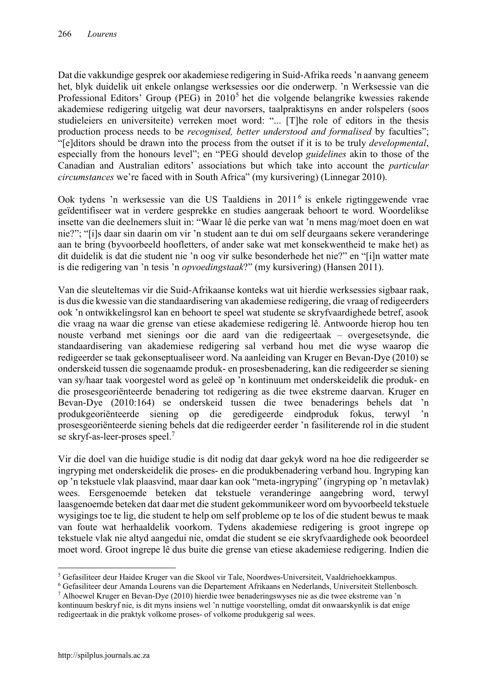Dat die vakkundige gesprek oor akademiese redigering in Suid-Afrika reeds 'n aanvang geneem het, blyk duidelik uit enkele onlangse werksessies oor die onderwerp. 'n Werksessie van die Professional Editors' Group (PEG) in 2010<sup>5</sup> het die volgende belangrike kwessies rakende akademiese redigering uitgelig wat deur navorsers, taalpraktisyns en ander rolspelers (soos studieleiers en universiteite) verreken moet word: "... [T]he role of editors in the thesis production process needs to be *recognised, better understood and formalised* by faculties"; "[e]ditors should be drawn into the process from the outset if it is to be truly *developmental*, especially from the honours level"; en "PEG should develop *guidelines* akin to those of the Canadian and Australian editors' associations but which take into account the *particular circumstances* we're faced with in South Africa" (my kursivering) (Linnegar 2010).

Ook tydens 'n werksessie van die US Taaldiens in 2011<sup>6</sup> is enkele rigtinggewende vrae geïdentifiseer wat in verdere gesprekke en studies aangeraak behoort te word. Woordelikse insette van die deelnemers sluit in: "Waar lê die perke van wat 'n mens mag/moet doen en wat nie?"; "[i]s daar sin daarin om vir 'n student aan te dui om self deurgaans sekere veranderinge aan te bring (byvoorbeeld hoofletters, of ander sake wat met konsekwentheid te make het) as dit duidelik is dat die student nie 'n oog vir sulke besonderhede het nie?" en "[i]n watter mate is die redigering van 'n tesis 'n *opvoedingstaak*?" (my kursivering) (Hansen 2011).

Van die sleuteltemas vir die Suid-Afrikaanse konteks wat uit hierdie werksessies sigbaar raak, is dus die kwessie van die standaardisering van akademiese redigering, die vraag of redigeerders ook 'n ontwikkelingsrol kan en behoort te speel wat studente se skryfvaardighede betref, asook die vraag na waar die grense van etiese akademiese redigering lê. Antwoorde hierop hou ten nouste verband met sienings oor die aard van die redigeertaak – overgesetsynde, die standaardisering van akademiese redigering sal verband hou met die wyse waarop die redigeerder se taak gekonseptualiseer word. Na aanleiding van Kruger en Bevan-Dye (2010) se onderskeid tussen die sogenaamde produk- en prosesbenadering, kan die redigeerder se siening van sy/haar taak voorgestel word as geleë op 'n kontinuum met onderskeidelik die produk- en die prosesgeoriënteerde benadering tot redigering as die twee ekstreme daarvan. Kruger en Bevan-Dye (2010:164) se onderskeid tussen die twee benaderings behels dat 'n produkgeoriënteerde siening op die geredigeerde eindproduk fokus, terwyl 'n prosesgeoriënteerde siening behels dat die redigeerder eerder 'n fasiliterende rol in die student se skryf-as-leer-proses speel.<sup>7</sup>

Vir die doel van die huidige studie is dit nodig dat daar gekyk word na hoe die redigeerder se ingryping met onderskeidelik die proses- en die produkbenadering verband hou. Ingryping kan op 'n tekstuele vlak plaasvind, maar daar kan ook "meta-ingryping" (ingryping op 'n metavlak) wees. Eersgenoemde beteken dat tekstuele veranderinge aangebring word, terwyl laasgenoemde beteken dat daar met die student gekommunikeer word om byvoorbeeld tekstuele wysigings toe te lig, die student te help om self probleme op te los of die student bewus te maak van foute wat herhaaldelik voorkom. Tydens akademiese redigering is groot ingrepe op tekstuele vlak nie altyd aangedui nie, omdat die student se eie skryfvaardighede ook beoordeel moet word. Groot ingrepe lê dus buite die grense van etiese akademiese redigering. Indien die

**<sup>.</sup>** <sup>5</sup> Gefasiliteer deur Haidee Kruger van die Skool vir Tale, Noordwes-Universiteit, Vaaldriehoekkampus.<br><sup>6</sup> Gefasiliteer deur Amanda Lourens van die Departement Afrikaans en Nederlands, Universiteit Stellenbosch.

<sup>&</sup>lt;sup>7</sup> Alhoewel Kruger en Bevan-Dye (2010) hierdie twee benaderingswyses nie as die twee ekstreme van 'n kontinuum beskryf nie, is dit myns insiens wel 'n nuttige voorstelling, omdat dit onwaarskynlik is dat enige

redigeertaak in die praktyk volkome proses- of volkome produkgerig sal wees.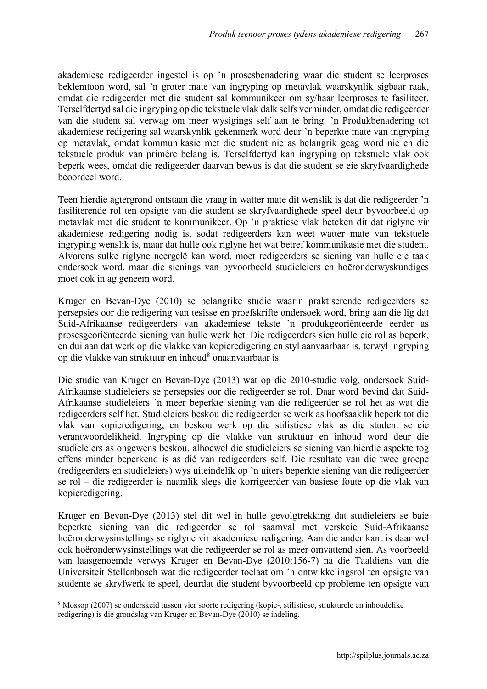akademiese redigeerder ingestel is op 'n prosesbenadering waar die student se leerproses beklemtoon word, sal 'n groter mate van ingryping op metavlak waarskynlik sigbaar raak, omdat die redigeerder met die student sal kommunikeer om sy/haar leerproses te fasiliteer. Terselfdertyd sal die ingryping op die tekstuele vlak dalk selfs verminder, omdat die redigeerder van die student sal verwag om meer wysigings self aan te bring. 'n Produkbenadering tot akademiese redigering sal waarskynlik gekenmerk word deur 'n beperkte mate van ingryping op metavlak, omdat kommunikasie met die student nie as belangrik geag word nie en die tekstuele produk van primêre belang is. Terselfdertyd kan ingryping op tekstuele vlak ook beperk wees, omdat die redigeerder daarvan bewus is dat die student se eie skryfvaardighede beoordeel word.

Teen hierdie agtergrond ontstaan die vraag in watter mate dit wenslik is dat die redigeerder 'n fasiliterende rol ten opsigte van die student se skryfvaardighede speel deur byvoorbeeld op metavlak met die student te kommunikeer. Op 'n praktiese vlak beteken dit dat riglyne vir akademiese redigering nodig is, sodat redigeerders kan weet watter mate van tekstuele ingryping wenslik is, maar dat hulle ook riglyne het wat betref kommunikasie met die student. Alvorens sulke riglyne neergelê kan word, moet redigeerders se siening van hulle eie taak ondersoek word, maar die sienings van byvoorbeeld studieleiers en hoëronderwyskundiges moet ook in ag geneem word.

Kruger en Bevan-Dye (2010) se belangrike studie waarin praktiserende redigeerders se persepsies oor die redigering van tesisse en proefskrifte ondersoek word, bring aan die lig dat Suid-Afrikaanse redigeerders van akademiese tekste 'n produkgeoriënteerde eerder as prosesgeoriënteerde siening van hulle werk het. Die redigeerders sien hulle eie rol as beperk, en dui aan dat werk op die vlakke van kopieredigering en styl aanvaarbaar is, terwyl ingryping op die vlakke van struktuur en inhoud<sup>8</sup> onaanvaarbaar is.

Die studie van Kruger en Bevan-Dye (2013) wat op die 2010-studie volg, ondersoek Suid-Afrikaanse studieleiers se persepsies oor die redigeerder se rol. Daar word bevind dat Suid-Afrikaanse studieleiers 'n meer beperkte siening van die redigeerder se rol het as wat die redigeerders self het. Studieleiers beskou die redigeerder se werk as hoofsaaklik beperk tot die vlak van kopieredigering, en beskou werk op die stilistiese vlak as die student se eie verantwoordelikheid. Ingryping op die vlakke van struktuur en inhoud word deur die studieleiers as ongewens beskou, alhoewel die studieleiers se siening van hierdie aspekte tog effens minder beperkend is as dié van redigeerders self. Die resultate van die twee groepe (redigeerders en studieleiers) wys uiteindelik op 'n uiters beperkte siening van die redigeerder se rol – die redigeerder is naamlik slegs die korrigeerder van basiese foute op die vlak van kopieredigering.

Kruger en Bevan-Dye (2013) stel dit wel in hulle gevolgtrekking dat studieleiers se baie beperkte siening van die redigeerder se rol saamval met verskeie Suid-Afrikaanse hoëronderwysinstellings se riglyne vir akademiese redigering. Aan die ander kant is daar wel ook hoëronderwysinstellings wat die redigeerder se rol as meer omvattend sien. As voorbeeld van laasgenoemde verwys Kruger en Bevan-Dye (2010:156-7) na die Taaldiens van die Universiteit Stellenbosch wat die redigeerder toelaat om 'n ontwikkelingsrol ten opsigte van studente se skryfwerk te speel, deurdat die student byvoorbeeld op probleme ten opsigte van

1

<sup>8</sup> Mossop (2007) se onderskeid tussen vier soorte redigering (kopie-, stilistiese, strukturele en inhoudelike redigering) is die grondslag van Kruger en Bevan-Dye (2010) se indeling.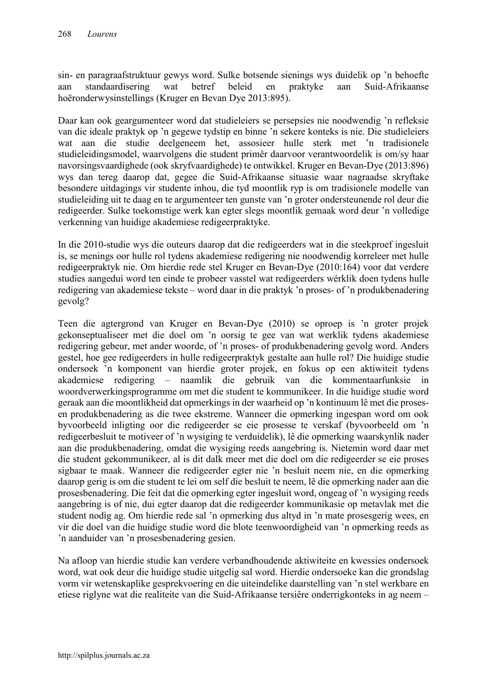sin- en paragraafstruktuur gewys word. Sulke botsende sienings wys duidelik op 'n behoefte aan standaardisering wat betref beleid en praktyke aan Suid-Afrikaanse hoëronderwysinstellings (Kruger en Bevan Dye 2013:895).

Daar kan ook geargumenteer word dat studieleiers se persepsies nie noodwendig 'n refleksie van die ideale praktyk op 'n gegewe tydstip en binne 'n sekere konteks is nie. Die studieleiers wat aan die studie deelgeneem het, assosieer hulle sterk met 'n tradisionele studieleidingsmodel, waarvolgens die student primêr daarvoor verantwoordelik is om/sy haar navorsingsvaardighede (ook skryfvaardighede) te ontwikkel. Kruger en Bevan-Dye (2013:896) wys dan tereg daarop dat, gegee die Suid-Afrikaanse situasie waar nagraadse skryftake besondere uitdagings vir studente inhou, die tyd moontlik ryp is om tradisionele modelle van studieleiding uit te daag en te argumenteer ten gunste van 'n groter ondersteunende rol deur die redigeerder. Sulke toekomstige werk kan egter slegs moontlik gemaak word deur 'n volledige verkenning van huidige akademiese redigeerpraktyke.

In die 2010-studie wys die outeurs daarop dat die redigeerders wat in die steekproef ingesluit is, se menings oor hulle rol tydens akademiese redigering nie noodwendig korreleer met hulle redigeerpraktyk nie. Om hierdie rede stel Kruger en Bevan-Dye (2010:164) voor dat verdere studies aangedui word ten einde te probeer vasstel wat redigeerders wérklik doen tydens hulle redigering van akademiese tekste – word daar in die praktyk 'n proses- of 'n produkbenadering gevolg?

Teen die agtergrond van Kruger en Bevan-Dye (2010) se oproep is 'n groter projek gekonseptualiseer met die doel om 'n oorsig te gee van wat werklik tydens akademiese redigering gebeur, met ander woorde, of 'n proses- of produkbenadering gevolg word. Anders gestel, hoe gee redigeerders in hulle redigeerpraktyk gestalte aan hulle rol? Die huidige studie ondersoek 'n komponent van hierdie groter projek, en fokus op een aktiwiteit tydens akademiese redigering – naamlik die gebruik van die kommentaarfunksie in woordverwerkingsprogramme om met die student te kommunikeer. In die huidige studie word geraak aan die moontlikheid dat opmerkings in der waarheid op 'n kontinuum lê met die prosesen produkbenadering as die twee ekstreme. Wanneer die opmerking ingespan word om ook byvoorbeeld inligting oor die redigeerder se eie prosesse te verskaf (byvoorbeeld om 'n redigeerbesluit te motiveer of 'n wysiging te verduidelik), lê die opmerking waarskynlik nader aan die produkbenadering, omdat die wysiging reeds aangebring is. Nietemin word daar met die student gekommunikeer, al is dit dalk meer met die doel om die redigeerder se eie proses sigbaar te maak. Wanneer die redigeerder egter nie 'n besluit neem nie, en die opmerking daarop gerig is om die student te lei om self die besluit te neem, lê die opmerking nader aan die prosesbenadering. Die feit dat die opmerking egter ingesluit word, ongeag of 'n wysiging reeds aangebring is of nie, dui egter daarop dat die redigeerder kommunikasie op metavlak met die student nodig ag. Om hierdie rede sal 'n opmerking dus altyd in 'n mate prosesgerig wees, en vir die doel van die huidige studie word die blote teenwoordigheid van 'n opmerking reeds as 'n aanduider van 'n prosesbenadering gesien.

Na afloop van hierdie studie kan verdere verbandhoudende aktiwiteite en kwessies ondersoek word, wat ook deur die huidige studie uitgelig sal word. Hierdie ondersoeke kan die grondslag vorm vir wetenskaplike gesprekvoering en die uiteindelike daarstelling van 'n stel werkbare en etiese riglyne wat die realiteite van die Suid-Afrikaanse tersiêre onderrigkonteks in ag neem –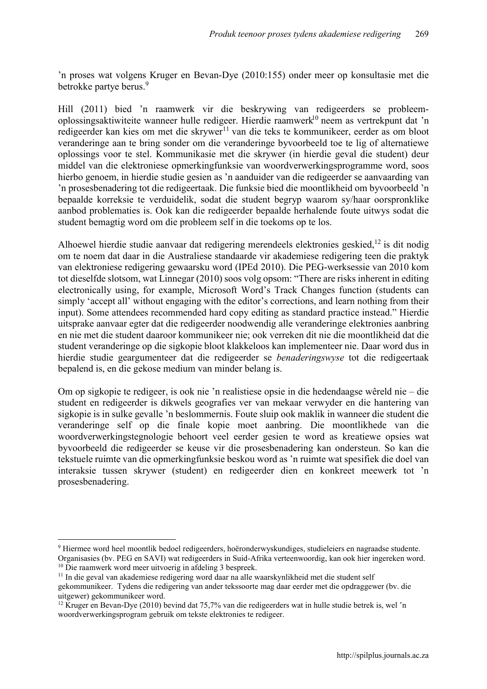'n proses wat volgens Kruger en Bevan-Dye (2010:155) onder meer op konsultasie met die betrokke partye berus.<sup>9</sup>

Hill (2011) bied 'n raamwerk vir die beskrywing van redigeerders se probleemoplossingsaktiwiteite wanneer hulle redigeer. Hierdie raamwerk <sup>10</sup> neem as vertrekpunt dat 'n redigeerder kan kies om met die skrywer<sup>11</sup> van die teks te kommunikeer, eerder as om bloot veranderinge aan te bring sonder om die veranderinge byvoorbeeld toe te lig of alternatiewe oplossings voor te stel. Kommunikasie met die skrywer (in hierdie geval die student) deur middel van die elektroniese opmerkingfunksie van woordverwerkingsprogramme word, soos hierbo genoem, in hierdie studie gesien as 'n aanduider van die redigeerder se aanvaarding van 'n prosesbenadering tot die redigeertaak. Die funksie bied die moontlikheid om byvoorbeeld 'n bepaalde korreksie te verduidelik, sodat die student begryp waarom sy/haar oorspronklike aanbod problematies is. Ook kan die redigeerder bepaalde herhalende foute uitwys sodat die student bemagtig word om die probleem self in die toekoms op te los.

Alhoewel hierdie studie aanvaar dat redigering merendeels elektronies geskied.<sup>12</sup> is dit nodig om te noem dat daar in die Australiese standaarde vir akademiese redigering teen die praktyk van elektroniese redigering gewaarsku word (IPEd 2010). Die PEG-werksessie van 2010 kom tot dieselfde slotsom, wat Linnegar (2010) soos volg opsom: "There are risks inherent in editing electronically using, for example, Microsoft Word's Track Changes function (students can simply 'accept all' without engaging with the editor's corrections, and learn nothing from their input). Some attendees recommended hard copy editing as standard practice instead." Hierdie uitsprake aanvaar egter dat die redigeerder noodwendig alle veranderinge elektronies aanbring en nie met die student daaroor kommunikeer nie; ook verreken dit nie die moontlikheid dat die student veranderinge op die sigkopie bloot klakkeloos kan implementeer nie. Daar word dus in hierdie studie geargumenteer dat die redigeerder se *benaderingswyse* tot die redigeertaak bepalend is, en die gekose medium van minder belang is.

Om op sigkopie te redigeer, is ook nie 'n realistiese opsie in die hedendaagse wêreld nie – die student en redigeerder is dikwels geografies ver van mekaar verwyder en die hantering van sigkopie is in sulke gevalle 'n beslommernis. Foute sluip ook maklik in wanneer die student die veranderinge self op die finale kopie moet aanbring. Die moontlikhede van die woordverwerkingstegnologie behoort veel eerder gesien te word as kreatiewe opsies wat byvoorbeeld die redigeerder se keuse vir die prosesbenadering kan ondersteun. So kan die tekstuele ruimte van die opmerkingfunksie beskou word as 'n ruimte wat spesifiek die doel van interaksie tussen skrywer (student) en redigeerder dien en konkreet meewerk tot 'n prosesbenadering.

**.** 

<sup>9</sup> Hiermee word heel moontlik bedoel redigeerders, hoëronderwyskundiges, studieleiers en nagraadse studente. Organisasies (bv. PEG en SAVI) wat redigeerders in Suid-Afrika verteenwoordig, kan ook hier ingereken word.

<sup>10</sup> Die raamwerk word meer uitvoerig in afdeling 3 bespreek.

<sup>&</sup>lt;sup>11</sup> In die geval van akademiese redigering word daar na alle waarskynlikheid met die student self

gekommunikeer. Tydens die redigering van ander tekssoorte mag daar eerder met die opdraggewer (bv. die uitgewer) gekommunikeer word.

 $12$  Kruger en Bevan-Dye (2010) bevind dat 75,7% van die redigeerders wat in hulle studie betrek is, wel 'n woordverwerkingsprogram gebruik om tekste elektronies te redigeer.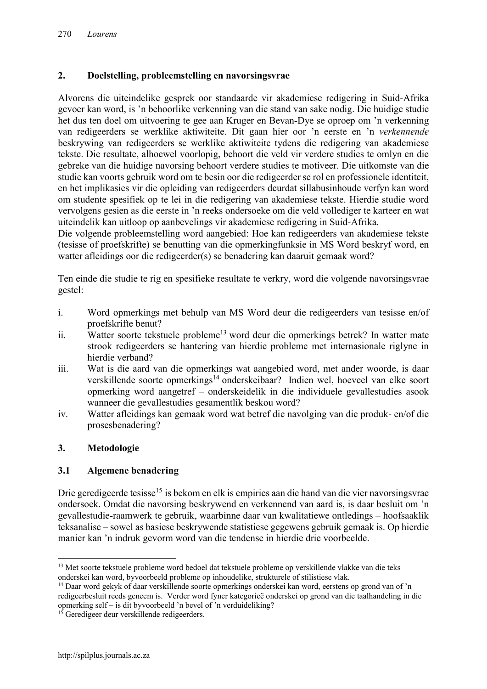### 2. Doelstelling, probleemstelling en navorsingsvrae

Alvorens die uiteindelike gesprek oor standaarde vir akademiese redigering in Suid-Afrika gevoer kan word, is 'n behoorlike verkenning van die stand van sake nodig. Die huidige studie het dus ten doel om uitvoering te gee aan Kruger en Bevan-Dye se oproep om 'n verkenning van redigeerders se werklike aktiwiteite. Dit gaan hier oor 'n eerste en 'n *verkennende* beskrywing van redigeerders se werklike aktiwiteite tydens die redigering van akademiese tekste. Die resultate, alhoewel voorlopig, behoort die veld vir verdere studies te omlyn en die gebreke van die huidige navorsing behoort verdere studies te motiveer. Die uitkomste van die studie kan voorts gebruik word om te besin oor die redigeerder se rol en professionele identiteit, en het implikasies vir die opleiding van redigeerders deurdat sillabusinhoude verfyn kan word om studente spesifiek op te lei in die redigering van akademiese tekste. Hierdie studie word vervolgens gesien as die eerste in 'n reeks ondersoeke om die veld vollediger te karteer en wat uiteindelik kan uitloop op aanbevelings vir akademiese redigering in Suid-Afrika.

Die volgende probleemstelling word aangebied: Hoe kan redigeerders van akademiese tekste (tesisse of proefskrifte) se benutting van die opmerkingfunksie in MS Word beskryf word, en watter afleidings oor die redigeerder(s) se benadering kan daaruit gemaak word?

Ten einde die studie te rig en spesifieke resultate te verkry, word die volgende navorsingsvrae gestel:

- i. Word opmerkings met behulp van MS Word deur die redigeerders van tesisse en/of proefskrifte benut?
- ii. Watter soorte tekstuele probleme<sup>13</sup> word deur die opmerkings betrek? In watter mate strook redigeerders se hantering van hierdie probleme met internasionale riglyne in hierdie verband?
- iii. Wat is die aard van die opmerkings wat aangebied word, met ander woorde, is daar verskillende soorte opmerkings<sup>14</sup> onderskeibaar? Indien wel, hoeveel van elke soort opmerking word aangetref – onderskeidelik in die individuele gevallestudies asook wanneer die gevallestudies gesamentlik beskou word?
- iv. Watter afleidings kan gemaak word wat betref die navolging van die produk- en/of die prosesbenadering?

### 3. Metodologie

1

### 3.1 Algemene benadering

Drie geredigeerde tesisse<sup>15</sup> is bekom en elk is empiries aan die hand van die vier navorsingsvrae ondersoek. Omdat die navorsing beskrywend en verkennend van aard is, is daar besluit om 'n gevallestudie-raamwerk te gebruik, waarbinne daar van kwalitatiewe ontledings – hoofsaaklik teksanalise – sowel as basiese beskrywende statistiese gegewens gebruik gemaak is. Op hierdie manier kan 'n indruk gevorm word van die tendense in hierdie drie voorbeelde.

<sup>&</sup>lt;sup>13</sup> Met soorte tekstuele probleme word bedoel dat tekstuele probleme op verskillende vlakke van die teks onderskei kan word, byvoorbeeld probleme op inhoudelike, strukturele of stilistiese vlak.

<sup>&</sup>lt;sup>14</sup> Daar word gekyk of daar verskillende soorte opmerkings onderskei kan word, eerstens op grond van of 'n redigeerbesluit reeds geneem is. Verder word fyner kategorieë onderskei op grond van die taalhandeling in die opmerking self – is dit byvoorbeeld 'n bevel of 'n verduideliking?

<sup>&</sup>lt;sup>15</sup> Geredigeer deur verskillende redigeerders.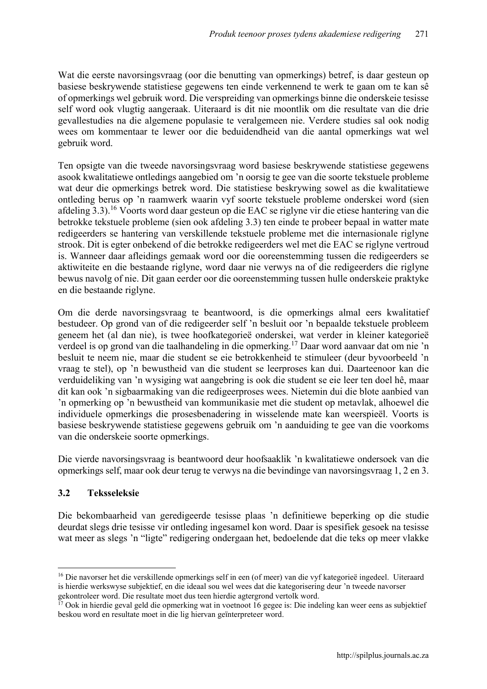Wat die eerste navorsingsvraag (oor die benutting van opmerkings) betref, is daar gesteun op basiese beskrywende statistiese gegewens ten einde verkennend te werk te gaan om te kan sê of opmerkings wel gebruik word. Die verspreiding van opmerkings binne die onderskeie tesisse self word ook vlugtig aangeraak. Uiteraard is dit nie moontlik om die resultate van die drie gevallestudies na die algemene populasie te veralgemeen nie. Verdere studies sal ook nodig wees om kommentaar te lewer oor die beduidendheid van die aantal opmerkings wat wel gebruik word.

Ten opsigte van die tweede navorsingsvraag word basiese beskrywende statistiese gegewens asook kwalitatiewe ontledings aangebied om 'n oorsig te gee van die soorte tekstuele probleme wat deur die opmerkings betrek word. Die statistiese beskrywing sowel as die kwalitatiewe ontleding berus op 'n raamwerk waarin vyf soorte tekstuele probleme onderskei word (sien afdeling 3.3).<sup>16</sup> Voorts word daar gesteun op die EAC se riglyne vir die etiese hantering van die betrokke tekstuele probleme (sien ook afdeling 3.3) ten einde te probeer bepaal in watter mate redigeerders se hantering van verskillende tekstuele probleme met die internasionale riglyne strook. Dit is egter onbekend of die betrokke redigeerders wel met die EAC se riglyne vertroud is. Wanneer daar afleidings gemaak word oor die ooreenstemming tussen die redigeerders se aktiwiteite en die bestaande riglyne, word daar nie verwys na of die redigeerders die riglyne bewus navolg of nie. Dit gaan eerder oor die ooreenstemming tussen hulle onderskeie praktyke en die bestaande riglyne.

Om die derde navorsingsvraag te beantwoord, is die opmerkings almal eers kwalitatief bestudeer. Op grond van of die redigeerder self 'n besluit oor 'n bepaalde tekstuele probleem geneem het (al dan nie), is twee hoofkategorieë onderskei, wat verder in kleiner kategorieë verdeel is op grond van die taalhandeling in die opmerking.<sup>17</sup> Daar word aanvaar dat om nie 'n besluit te neem nie, maar die student se eie betrokkenheid te stimuleer (deur byvoorbeeld 'n vraag te stel), op 'n bewustheid van die student se leerproses kan dui. Daarteenoor kan die verduideliking van 'n wysiging wat aangebring is ook die student se eie leer ten doel hê, maar dit kan ook 'n sigbaarmaking van die redigeerproses wees. Nietemin dui die blote aanbied van 'n opmerking op 'n bewustheid van kommunikasie met die student op metavlak, alhoewel die individuele opmerkings die prosesbenadering in wisselende mate kan weerspieël. Voorts is basiese beskrywende statistiese gegewens gebruik om 'n aanduiding te gee van die voorkoms van die onderskeie soorte opmerkings.

Die vierde navorsingsvraag is beantwoord deur hoofsaaklik 'n kwalitatiewe ondersoek van die opmerkings self, maar ook deur terug te verwys na die bevindinge van navorsingsvraag 1, 2 en 3.

# 3.2 Teksseleksie

Die bekombaarheid van geredigeerde tesisse plaas 'n definitiewe beperking op die studie deurdat slegs drie tesisse vir ontleding ingesamel kon word. Daar is spesifiek gesoek na tesisse wat meer as slegs 'n "ligte" redigering ondergaan het, bedoelende dat die teks op meer vlakke

**<sup>.</sup>** <sup>16</sup> Die navorser het die verskillende opmerkings self in een (of meer) van die vyf kategorieë ingedeel. Uiteraard is hierdie werkswyse subjektief, en die ideaal sou wel wees dat die kategorisering deur 'n tweede navorser gekontroleer word. Die resultate moet dus teen hierdie agtergrond vertolk word.

 $\overline{17}$  Ook in hierdie geval geld die opmerking wat in voetnoot 16 gegee is: Die indeling kan weer eens as subjektief beskou word en resultate moet in die lig hiervan geïnterpreteer word.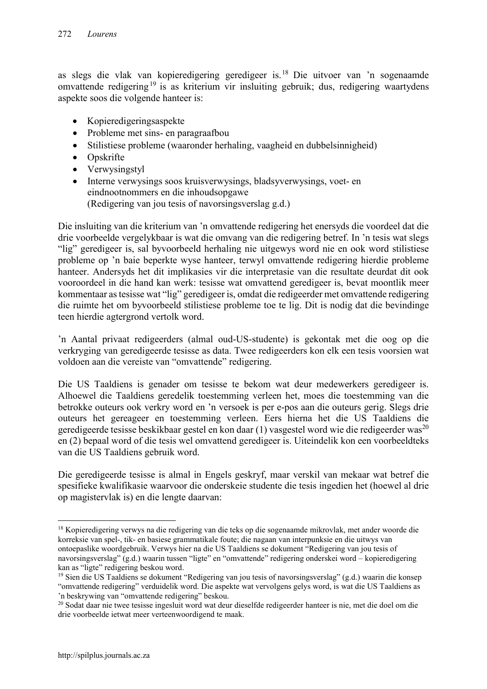as slegs die vlak van kopieredigering geredigeer is. <sup>18</sup> Die uitvoer van 'n sogenaamde omvattende redigering<sup>19</sup> is as kriterium vir insluiting gebruik; dus, redigering waartydens aspekte soos die volgende hanteer is:

- Kopieredigeringsaspekte
- Probleme met sins- en paragraafbou
- Stilistiese probleme (waaronder herhaling, vaagheid en dubbelsinnigheid)
- Opskrifte
- Verwysingstyl
- Interne verwysings soos kruisverwysings, bladsyverwysings, voet- en eindnootnommers en die inhoudsopgawe (Redigering van jou tesis of navorsingsverslag g.d.)

Die insluiting van die kriterium van 'n omvattende redigering het enersyds die voordeel dat die drie voorbeelde vergelykbaar is wat die omvang van die redigering betref. In 'n tesis wat slegs "lig" geredigeer is, sal byvoorbeeld herhaling nie uitgewys word nie en ook word stilistiese probleme op 'n baie beperkte wyse hanteer, terwyl omvattende redigering hierdie probleme hanteer. Andersyds het dit implikasies vir die interpretasie van die resultate deurdat dit ook vooroordeel in die hand kan werk: tesisse wat omvattend geredigeer is, bevat moontlik meer kommentaar as tesisse wat "lig" geredigeer is, omdat die redigeerder met omvattende redigering die ruimte het om byvoorbeeld stilistiese probleme toe te lig. Dit is nodig dat die bevindinge teen hierdie agtergrond vertolk word.

'n Aantal privaat redigeerders (almal oud-US-studente) is gekontak met die oog op die verkryging van geredigeerde tesisse as data. Twee redigeerders kon elk een tesis voorsien wat voldoen aan die vereiste van "omvattende" redigering.

Die US Taaldiens is genader om tesisse te bekom wat deur medewerkers geredigeer is. Alhoewel die Taaldiens geredelik toestemming verleen het, moes die toestemming van die betrokke outeurs ook verkry word en 'n versoek is per e-pos aan die outeurs gerig. Slegs drie outeurs het gereageer en toestemming verleen. Eers hierna het die US Taaldiens die geredigeerde tesisse beskikbaar gestel en kon daar  $(1)$  vasgestel word wie die redigeerder was<sup>20</sup> en (2) bepaal word of die tesis wel omvattend geredigeer is. Uiteindelik kon een voorbeeldteks van die US Taaldiens gebruik word.

Die geredigeerde tesisse is almal in Engels geskryf, maar verskil van mekaar wat betref die spesifieke kwalifikasie waarvoor die onderskeie studente die tesis ingedien het (hoewel al drie op magistervlak is) en die lengte daarvan:

**.** 

<sup>&</sup>lt;sup>18</sup> Kopieredigering verwys na die redigering van die teks op die sogenaamde mikrovlak, met ander woorde die korreksie van spel-, tik- en basiese grammatikale foute; die nagaan van interpunksie en die uitwys van ontoepaslike woordgebruik. Verwys hier na die US Taaldiens se dokument "Redigering van jou tesis of navorsingsverslag" (g.d.) waarin tussen "ligte" en "omvattende" redigering onderskei word – kopieredigering kan as "ligte" redigering beskou word.

<sup>&</sup>lt;sup>19</sup> Sien die US Taaldiens se dokument "Redigering van jou tesis of navorsingsverslag" (g.d.) waarin die konsep "omvattende redigering" verduidelik word. Die aspekte wat vervolgens gelys word, is wat die US Taaldiens as 'n beskrywing van "omvattende redigering" beskou.

<sup>&</sup>lt;sup>20</sup> Sodat daar nie twee tesisse ingesluit word wat deur dieselfde redigeerder hanteer is nie, met die doel om die drie voorbeelde ietwat meer verteenwoordigend te maak.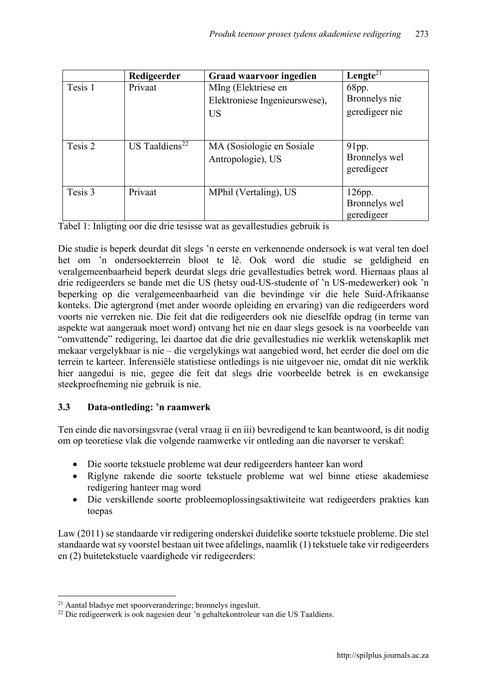|         | Redigeerder                | <b>Graad waarvoor ingedien</b> | Lengte <sup>21</sup> |
|---------|----------------------------|--------------------------------|----------------------|
| Tesis 1 | Privaat                    | MIng (Elektriese en            | 68pp.                |
|         |                            | Elektroniese Ingenieurswese),  | Bronnelys nie        |
|         |                            | <b>US</b>                      | geredigeer nie       |
|         |                            |                                |                      |
| Tesis 2 | US Taaldiens <sup>22</sup> | MA (Sosiologie en Sosiale      | $91$ pp.             |
|         |                            | Antropologie), US              | Bronnelys wel        |
|         |                            |                                | geredigeer           |
| Tesis 3 | Privaat                    | MPhil (Vertaling), US          | $126$ pp.            |
|         |                            |                                | Bronnelys wel        |
|         |                            |                                | geredigeer           |

Tabel 1: Inligting oor die drie tesisse wat as gevallestudies gebruik is

Die studie is beperk deurdat dit slegs 'n eerste en verkennende ondersoek is wat veral ten doel het om 'n ondersoekterrein bloot te lê. Ook word die studie se geldigheid en veralgemeenbaarheid beperk deurdat slegs drie gevallestudies betrek word. Hiernaas plaas al drie redigeerders se bande met die US (hetsy oud-US-studente of 'n US-medewerker) ook 'n beperking op die veralgemeenbaarheid van die bevindinge vir die hele Suid-Afrikaanse konteks. Die agtergrond (met ander woorde opleiding en ervaring) van die redigeerders word voorts nie verreken nie. Die feit dat die redigeerders ook nie dieselfde opdrag (in terme van aspekte wat aangeraak moet word) ontvang het nie en daar slegs gesoek is na voorbeelde van "omvattende" redigering, lei daartoe dat die drie gevallestudies nie werklik wetenskaplik met mekaar vergelykbaar is nie – die vergelykings wat aangebied word, het eerder die doel om die terrein te karteer. Inferensiële statistiese ontledings is nie uitgevoer nie, omdat dit nie werklik hier aangedui is nie, gegee die feit dat slegs drie voorbeelde betrek is en ewekansige steekproefneming nie gebruik is nie.

### 3.3 Data-ontleding: 'n raamwerk

Ten einde die navorsingsvrae (veral vraag ii en iii) bevredigend te kan beantwoord, is dit nodig om op teoretiese vlak die volgende raamwerke vir ontleding aan die navorser te verskaf:

- Die soorte tekstuele probleme wat deur redigeerders hanteer kan word
- Riglyne rakende die soorte tekstuele probleme wat wel binne etiese akademiese redigering hanteer mag word
- Die verskillende soorte probleemoplossingsaktiwiteite wat redigeerders prakties kan toepas

Law (2011) se standaarde vir redigering onderskei duidelike soorte tekstuele probleme. Die stel standaarde wat sy voorstel bestaan uit twee afdelings, naamlik (1) tekstuele take vir redigeerders en (2) buitetekstuele vaardighede vir redigeerders:

1

<sup>21</sup> Aantal bladsye met spoorveranderinge; bronnelys ingesluit.

<sup>&</sup>lt;sup>22</sup> Die redigeerwerk is ook nagesien deur 'n gehaltekontroleur van die US Taaldiens.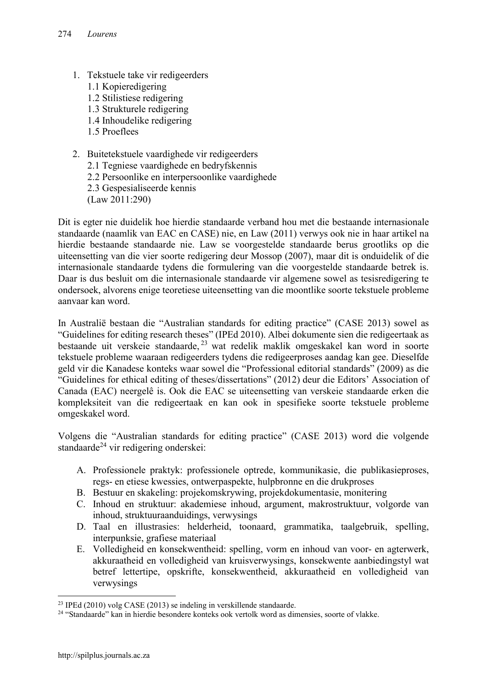- 1. Tekstuele take vir redigeerders 1.1 Kopieredigering 1.2 Stilistiese redigering 1.3 Strukturele redigering 1.4 Inhoudelike redigering 1.5 Proeflees
- 2. Buitetekstuele vaardighede vir redigeerders
	- 2.1 Tegniese vaardighede en bedryfskennis
	- 2.2 Persoonlike en interpersoonlike vaardighede
	- 2.3 Gespesialiseerde kennis
	- (Law 2011:290)

Dit is egter nie duidelik hoe hierdie standaarde verband hou met die bestaande internasionale standaarde (naamlik van EAC en CASE) nie, en Law (2011) verwys ook nie in haar artikel na hierdie bestaande standaarde nie. Law se voorgestelde standaarde berus grootliks op die uiteensetting van die vier soorte redigering deur Mossop (2007), maar dit is onduidelik of die internasionale standaarde tydens die formulering van die voorgestelde standaarde betrek is. Daar is dus besluit om die internasionale standaarde vir algemene sowel as tesisredigering te ondersoek, alvorens enige teoretiese uiteensetting van die moontlike soorte tekstuele probleme aanvaar kan word.

In Australië bestaan die "Australian standards for editing practice" (CASE 2013) sowel as "Guidelines for editing research theses" (IPEd 2010). Albei dokumente sien die redigeertaak as bestaande uit verskeie standaarde, <sup>23</sup> wat redelik maklik omgeskakel kan word in soorte tekstuele probleme waaraan redigeerders tydens die redigeerproses aandag kan gee. Dieselfde geld vir die Kanadese konteks waar sowel die "Professional editorial standards" (2009) as die "Guidelines for ethical editing of theses/dissertations" (2012) deur die Editors' Association of Canada (EAC) neergelê is. Ook die EAC se uiteensetting van verskeie standaarde erken die kompleksiteit van die redigeertaak en kan ook in spesifieke soorte tekstuele probleme omgeskakel word.

Volgens die "Australian standards for editing practice" (CASE 2013) word die volgende standaarde<sup>24</sup> vir redigering onderskei:

- A. Professionele praktyk: professionele optrede, kommunikasie, die publikasieproses, regs- en etiese kwessies, ontwerpaspekte, hulpbronne en die drukproses
- B. Bestuur en skakeling: projekomskrywing, projekdokumentasie, monitering
- C. Inhoud en struktuur: akademiese inhoud, argument, makrostruktuur, volgorde van inhoud, struktuuraanduidings, verwysings
- D. Taal en illustrasies: helderheid, toonaard, grammatika, taalgebruik, spelling, interpunksie, grafiese materiaal
- E. Volledigheid en konsekwentheid: spelling, vorm en inhoud van voor- en agterwerk, akkuraatheid en volledigheid van kruisverwysings, konsekwente aanbiedingstyl wat betref lettertipe, opskrifte, konsekwentheid, akkuraatheid en volledigheid van verwysings

 $^{23}$  IPEd (2010) volg CASE (2013) se indeling in verskillende standaarde.

<sup>&</sup>lt;sup>24</sup> "Standaarde" kan in hierdie besondere konteks ook vertolk word as dimensies, soorte of vlakke.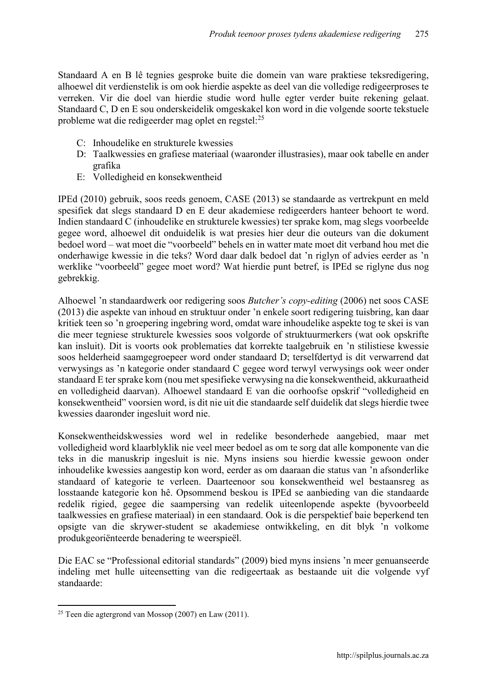Standaard A en B lê tegnies gesproke buite die domein van ware praktiese teksredigering, alhoewel dit verdienstelik is om ook hierdie aspekte as deel van die volledige redigeerproses te verreken. Vir die doel van hierdie studie word hulle egter verder buite rekening gelaat. Standaard C, D en E sou onderskeidelik omgeskakel kon word in die volgende soorte tekstuele probleme wat die redigeerder mag oplet en regstel:<sup>25</sup>

- C: Inhoudelike en strukturele kwessies
- D: Taalkwessies en grafiese materiaal (waaronder illustrasies), maar ook tabelle en ander grafika
- E: Volledigheid en konsekwentheid

IPEd (2010) gebruik, soos reeds genoem, CASE (2013) se standaarde as vertrekpunt en meld spesifiek dat slegs standaard D en E deur akademiese redigeerders hanteer behoort te word. Indien standaard C (inhoudelike en strukturele kwessies) ter sprake kom, mag slegs voorbeelde gegee word, alhoewel dit onduidelik is wat presies hier deur die outeurs van die dokument bedoel word – wat moet die "voorbeeld" behels en in watter mate moet dit verband hou met die onderhawige kwessie in die teks? Word daar dalk bedoel dat 'n riglyn of advies eerder as 'n werklike "voorbeeld" gegee moet word? Wat hierdie punt betref, is IPEd se riglyne dus nog gebrekkig.

Alhoewel 'n standaardwerk oor redigering soos *Butcher's copy-editing* (2006) net soos CASE (2013) die aspekte van inhoud en struktuur onder 'n enkele soort redigering tuisbring, kan daar kritiek teen so 'n groepering ingebring word, omdat ware inhoudelike aspekte tog te skei is van die meer tegniese strukturele kwessies soos volgorde of struktuurmerkers (wat ook opskrifte kan insluit). Dit is voorts ook problematies dat korrekte taalgebruik en 'n stilistiese kwessie soos helderheid saamgegroepeer word onder standaard D; terselfdertyd is dit verwarrend dat verwysings as 'n kategorie onder standaard C gegee word terwyl verwysings ook weer onder standaard E ter sprake kom (nou met spesifieke verwysing na die konsekwentheid, akkuraatheid en volledigheid daarvan). Alhoewel standaard E van die oorhoofse opskrif "volledigheid en konsekwentheid" voorsien word, is dit nie uit die standaarde self duidelik dat slegs hierdie twee kwessies daaronder ingesluit word nie.

Konsekwentheidskwessies word wel in redelike besonderhede aangebied, maar met volledigheid word klaarblyklik nie veel meer bedoel as om te sorg dat alle komponente van die teks in die manuskrip ingesluit is nie. Myns insiens sou hierdie kwessie gewoon onder inhoudelike kwessies aangestip kon word, eerder as om daaraan die status van 'n afsonderlike standaard of kategorie te verleen. Daarteenoor sou konsekwentheid wel bestaansreg as losstaande kategorie kon hê. Opsommend beskou is IPEd se aanbieding van die standaarde redelik rigied, gegee die saampersing van redelik uiteenlopende aspekte (byvoorbeeld taalkwessies en grafiese materiaal) in een standaard. Ook is die perspektief baie beperkend ten opsigte van die skrywer-student se akademiese ontwikkeling, en dit blyk 'n volkome produkgeoriënteerde benadering te weerspieël.

Die EAC se "Professional editorial standards" (2009) bied myns insiens 'n meer genuanseerde indeling met hulle uiteensetting van die redigeertaak as bestaande uit die volgende vyf standaarde:

 $\overline{a}$ <sup>25</sup> Teen die agtergrond van Mossop (2007) en Law (2011).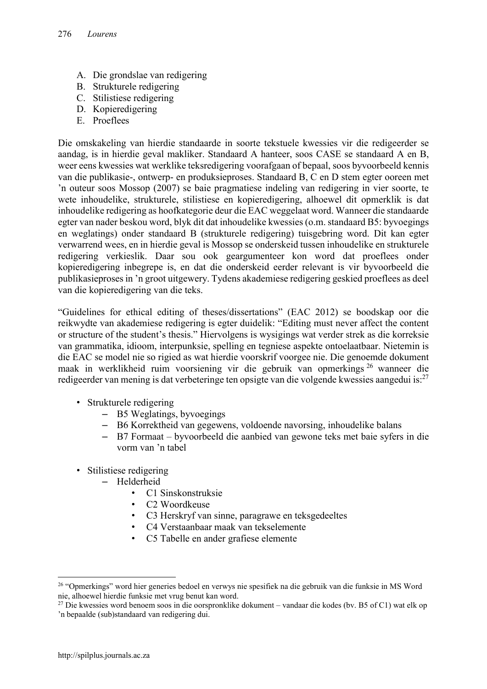- A. Die grondslae van redigering
- B. Strukturele redigering
- C. Stilistiese redigering
- D. Kopieredigering
- E. Proeflees

Die omskakeling van hierdie standaarde in soorte tekstuele kwessies vir die redigeerder se aandag, is in hierdie geval makliker. Standaard A hanteer, soos CASE se standaard A en B, weer eens kwessies wat werklike teksredigering voorafgaan of bepaal, soos byvoorbeeld kennis van die publikasie-, ontwerp- en produksieproses. Standaard B, C en D stem egter ooreen met 'n outeur soos Mossop (2007) se baie pragmatiese indeling van redigering in vier soorte, te wete inhoudelike, strukturele, stilistiese en kopieredigering, alhoewel dit opmerklik is dat inhoudelike redigering as hoofkategorie deur die EAC weggelaat word. Wanneer die standaarde egter van nader beskou word, blyk dit dat inhoudelike kwessies (o.m. standaard B5: byvoegings en weglatings) onder standaard B (strukturele redigering) tuisgebring word. Dit kan egter verwarrend wees, en in hierdie geval is Mossop se onderskeid tussen inhoudelike en strukturele redigering verkieslik. Daar sou ook geargumenteer kon word dat proeflees onder kopieredigering inbegrepe is, en dat die onderskeid eerder relevant is vir byvoorbeeld die publikasieproses in 'n groot uitgewery. Tydens akademiese redigering geskied proeflees as deel van die kopieredigering van die teks.

"Guidelines for ethical editing of theses/dissertations" (EAC 2012) se boodskap oor die reikwydte van akademiese redigering is egter duidelik: "Editing must never affect the content or structure of the student's thesis." Hiervolgens is wysigings wat verder strek as die korreksie van grammatika, idioom, interpunksie, spelling en tegniese aspekte ontoelaatbaar. Nietemin is die EAC se model nie so rigied as wat hierdie voorskrif voorgee nie. Die genoemde dokument maak in werklikheid ruim voorsiening vir die gebruik van opmerkings <sup>26</sup> wanneer die redigeerder van mening is dat verbeteringe ten opsigte van die volgende kwessies aangedui is:<sup>27</sup>

- Strukturele redigering
	- B5 Weglatings, byvoegings
	- B6 Korrektheid van gegewens, voldoende navorsing, inhoudelike balans
	- B7 Formaat byvoorbeeld die aanbied van gewone teks met baie syfers in die vorm van 'n tabel
- Stilistiese redigering
	- Helderheid
		- C1 Sinskonstruksie
		- C2 Woordkeuse
		- C3 Herskryf van sinne, paragrawe en teksgedeeltes
		- C4 Verstaanbaar maak van tekselemente
		- C5 Tabelle en ander grafiese elemente

**<sup>.</sup>** <sup>26</sup> "Opmerkings" word hier generies bedoel en verwys nie spesifiek na die gebruik van die funksie in MS Word nie, alhoewel hierdie funksie met vrug benut kan word.

<sup>&</sup>lt;sup>27</sup> Die kwessies word benoem soos in die oorspronklike dokument – vandaar die kodes (bv. B5 of C1) wat elk op 'n bepaalde (sub)standaard van redigering dui.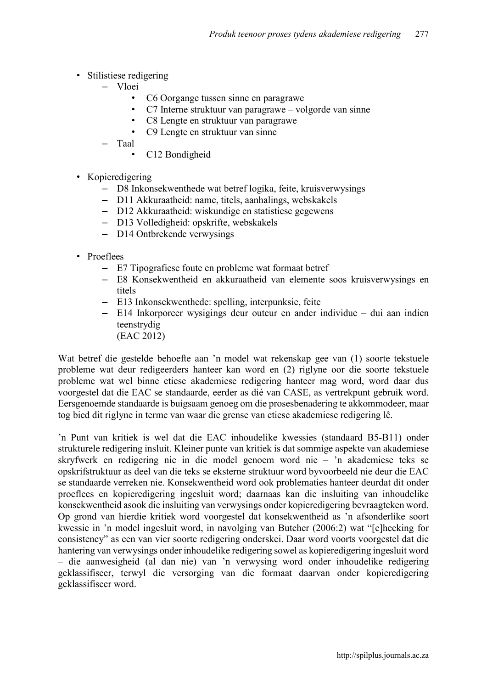- Stilistiese redigering
	- Vloei
		- C6 Oorgange tussen sinne en paragrawe
		- C7 Interne struktuur van paragrawe volgorde van sinne
		- C8 Lengte en struktuur van paragrawe
		- C9 Lengte en struktuur van sinne

– Taal

- C12 Bondigheid
- Kopieredigering
	- D8 Inkonsekwenthede wat betref logika, feite, kruisverwysings
	- D11 Akkuraatheid: name, titels, aanhalings, webskakels
	- D12 Akkuraatheid: wiskundige en statistiese gegewens
	- D13 Volledigheid: opskrifte, webskakels
	- D14 Ontbrekende verwysings
- Proeflees
	- E7 Tipografiese foute en probleme wat formaat betref
	- E8 Konsekwentheid en akkuraatheid van elemente soos kruisverwysings en titels
	- E13 Inkonsekwenthede: spelling, interpunksie, feite
	- E14 Inkorporeer wysigings deur outeur en ander individue dui aan indien teenstrydig
		- (EAC 2012)

Wat betref die gestelde behoefte aan 'n model wat rekenskap gee van (1) soorte tekstuele probleme wat deur redigeerders hanteer kan word en (2) riglyne oor die soorte tekstuele probleme wat wel binne etiese akademiese redigering hanteer mag word, word daar dus voorgestel dat die EAC se standaarde, eerder as dié van CASE, as vertrekpunt gebruik word. Eersgenoemde standaarde is buigsaam genoeg om die prosesbenadering te akkommodeer, maar tog bied dit riglyne in terme van waar die grense van etiese akademiese redigering lê.

'n Punt van kritiek is wel dat die EAC inhoudelike kwessies (standaard B5-B11) onder strukturele redigering insluit. Kleiner punte van kritiek is dat sommige aspekte van akademiese skryfwerk en redigering nie in die model genoem word nie – 'n akademiese teks se opskrifstruktuur as deel van die teks se eksterne struktuur word byvoorbeeld nie deur die EAC se standaarde verreken nie. Konsekwentheid word ook problematies hanteer deurdat dit onder proeflees en kopieredigering ingesluit word; daarnaas kan die insluiting van inhoudelike konsekwentheid asook die insluiting van verwysings onder kopieredigering bevraagteken word. Op grond van hierdie kritiek word voorgestel dat konsekwentheid as 'n afsonderlike soort kwessie in 'n model ingesluit word, in navolging van Butcher (2006:2) wat "[c]hecking for consistency" as een van vier soorte redigering onderskei. Daar word voorts voorgestel dat die hantering van verwysings onder inhoudelike redigering sowel as kopieredigering ingesluit word – die aanwesigheid (al dan nie) van 'n verwysing word onder inhoudelike redigering geklassifiseer, terwyl die versorging van die formaat daarvan onder kopieredigering geklassifiseer word.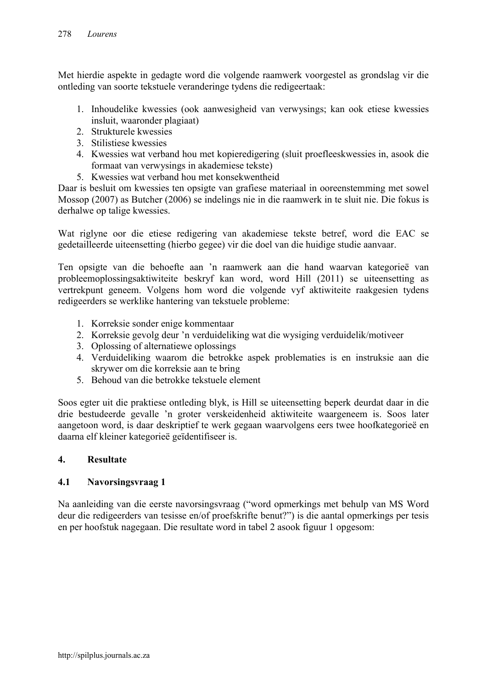Met hierdie aspekte in gedagte word die volgende raamwerk voorgestel as grondslag vir die ontleding van soorte tekstuele veranderinge tydens die redigeertaak:

- 1. Inhoudelike kwessies (ook aanwesigheid van verwysings; kan ook etiese kwessies insluit, waaronder plagiaat)
- 2. Strukturele kwessies
- 3. Stilistiese kwessies
- 4. Kwessies wat verband hou met kopieredigering (sluit proefleeskwessies in, asook die formaat van verwysings in akademiese tekste)
- 5. Kwessies wat verband hou met konsekwentheid

Daar is besluit om kwessies ten opsigte van grafiese materiaal in ooreenstemming met sowel Mossop (2007) as Butcher (2006) se indelings nie in die raamwerk in te sluit nie. Die fokus is derhalwe op talige kwessies.

Wat riglyne oor die etiese redigering van akademiese tekste betref, word die EAC se gedetailleerde uiteensetting (hierbo gegee) vir die doel van die huidige studie aanvaar.

Ten opsigte van die behoefte aan 'n raamwerk aan die hand waarvan kategorieë van probleemoplossingsaktiwiteite beskryf kan word, word Hill (2011) se uiteensetting as vertrekpunt geneem. Volgens hom word die volgende vyf aktiwiteite raakgesien tydens redigeerders se werklike hantering van tekstuele probleme:

- 1. Korreksie sonder enige kommentaar
- 2. Korreksie gevolg deur 'n verduideliking wat die wysiging verduidelik/motiveer
- 3. Oplossing of alternatiewe oplossings
- 4. Verduideliking waarom die betrokke aspek problematies is en instruksie aan die skrywer om die korreksie aan te bring
- 5. Behoud van die betrokke tekstuele element

Soos egter uit die praktiese ontleding blyk, is Hill se uiteensetting beperk deurdat daar in die drie bestudeerde gevalle 'n groter verskeidenheid aktiwiteite waargeneem is. Soos later aangetoon word, is daar deskriptief te werk gegaan waarvolgens eers twee hoofkategorieë en daarna elf kleiner kategorieë geïdentifiseer is.

### 4. Resultate

### 4.1 Navorsingsvraag 1

Na aanleiding van die eerste navorsingsvraag ("word opmerkings met behulp van MS Word deur die redigeerders van tesisse en/of proefskrifte benut?") is die aantal opmerkings per tesis en per hoofstuk nagegaan. Die resultate word in tabel 2 asook figuur 1 opgesom: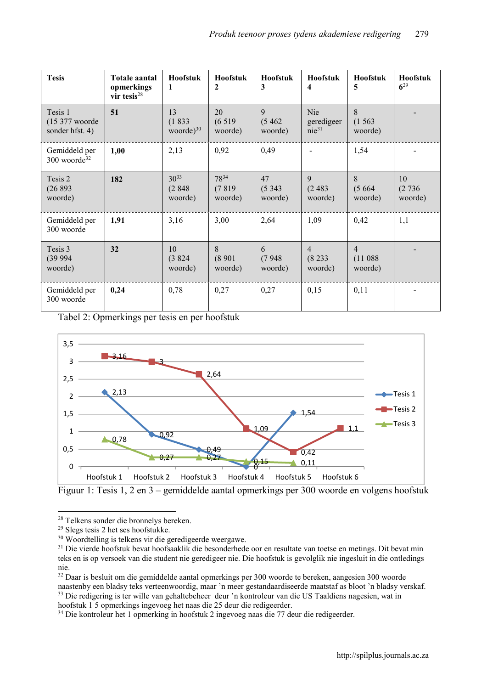| <b>Tesis</b>                                            | <b>Totale aantal</b><br>opmerkings<br>vir tesis $^{28}$ | Hoofstuk<br>1                   | <b>Hoofstuk</b><br>2          | Hoofstuk<br>3           | Hoofstuk<br>4                          | Hoofstuk<br>5                        | Hoofstuk<br>$6^{29}$    |
|---------------------------------------------------------|---------------------------------------------------------|---------------------------------|-------------------------------|-------------------------|----------------------------------------|--------------------------------------|-------------------------|
| Tesis 1<br>$(15\,377\text{ woorde})$<br>sonder hfst. 4) | 51                                                      | 13<br>(1833)<br>woorde $)^{30}$ | 20<br>(6519)<br>woorde)       | 9<br>(5462)<br>woorde)  | <b>Nie</b><br>geredigeer<br>$nie^{31}$ | 8<br>(1563)<br>woorde)               |                         |
| Gemiddeld per<br>300 woorde <sup>32</sup>               | 1,00                                                    | 2,13                            | 0,92                          | 0,49                    |                                        | 1,54                                 |                         |
| Tesis 2<br>(26893)<br>woorde)                           | 182                                                     | $30^{33}$<br>(2848)<br>woorde)  | $78^{34}$<br>(7819<br>woorde) | 47<br>(5343)<br>woorde) | 9<br>(2483)<br>woorde)                 | 8<br>(5664)<br>woorde)               | 10<br>(2736)<br>woorde) |
| Gemiddeld per<br>300 woorde                             | 1,91                                                    | 3,16                            | 3,00                          | 2,64                    | 1,09                                   | 0,42                                 | 1,1                     |
| Tesis 3<br>(39994)<br>woorde)                           | 32                                                      | 10<br>(3824)<br>woorde)         | 8<br>(8901)<br>woorde)        | 6<br>(7948)<br>woorde)  | $\overline{4}$<br>(8233)<br>woorde)    | $\overline{4}$<br>(11088)<br>woorde) |                         |
| Gemiddeld per<br>300 woorde                             | 0,24                                                    | 0,78                            | 0,27                          | 0,27                    | 0,15                                   | 0,11                                 |                         |

Tabel 2: Opmerkings per tesis en per hoofstuk



Figuur 1: Tesis 1, 2 en 3 – gemiddelde aantal opmerkings per 300 woorde en volgens hoofstuk

**<sup>.</sup>** <sup>28</sup> Telkens sonder die bronnelys bereken.

<sup>29</sup> Slegs tesis 2 het ses hoofstukke.

<sup>30</sup> Woordtelling is telkens vir die geredigeerde weergawe.

<sup>&</sup>lt;sup>31</sup> Die vierde hoofstuk bevat hoofsaaklik die besonderhede oor en resultate van toetse en metings. Dit bevat min teks en is op versoek van die student nie geredigeer nie. Die hoofstuk is gevolglik nie ingesluit in die ontledings nie.

<sup>&</sup>lt;sup>32</sup> Daar is besluit om die gemiddelde aantal opmerkings per 300 woorde te bereken, aangesien 300 woorde naastenby een bladsy teks verteenwoordig, maar 'n meer gestandaardiseerde maatstaf as bloot 'n bladsy verskaf. <sup>33</sup> Die redigering is ter wille van gehaltebeheer deur 'n kontroleur van die US Taaldiens nagesien, wat in hoofstuk 1 5 opmerkings ingevoeg het naas die 25 deur die redigeerder.

<sup>34</sup> Die kontroleur het 1 opmerking in hoofstuk 2 ingevoeg naas die 77 deur die redigeerder.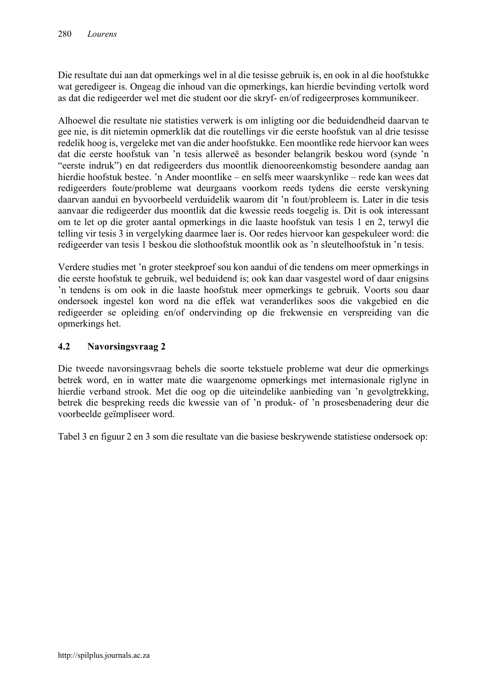Die resultate dui aan dat opmerkings wel in al die tesisse gebruik is, en ook in al die hoofstukke wat geredigeer is. Ongeag die inhoud van die opmerkings, kan hierdie bevinding vertolk word as dat die redigeerder wel met die student oor die skryf- en/of redigeerproses kommunikeer.

Alhoewel die resultate nie statisties verwerk is om inligting oor die beduidendheid daarvan te gee nie, is dit nietemin opmerklik dat die routellings vir die eerste hoofstuk van al drie tesisse redelik hoog is, vergeleke met van die ander hoofstukke. Een moontlike rede hiervoor kan wees dat die eerste hoofstuk van 'n tesis allerweë as besonder belangrik beskou word (synde 'n "eerste indruk") en dat redigeerders dus moontlik dienooreenkomstig besondere aandag aan hierdie hoofstuk bestee. 'n Ander moontlike – en selfs meer waarskynlike – rede kan wees dat redigeerders foute/probleme wat deurgaans voorkom reeds tydens die eerste verskyning daarvan aandui en byvoorbeeld verduidelik waarom dit 'n fout/probleem is. Later in die tesis aanvaar die redigeerder dus moontlik dat die kwessie reeds toegelig is. Dit is ook interessant om te let op die groter aantal opmerkings in die laaste hoofstuk van tesis 1 en 2, terwyl die telling vir tesis 3 in vergelyking daarmee laer is. Oor redes hiervoor kan gespekuleer word: die redigeerder van tesis 1 beskou die slothoofstuk moontlik ook as 'n sleutelhoofstuk in 'n tesis.

Verdere studies met 'n groter steekproef sou kon aandui of die tendens om meer opmerkings in die eerste hoofstuk te gebruik, wel beduidend is; ook kan daar vasgestel word of daar enigsins 'n tendens is om ook in die laaste hoofstuk meer opmerkings te gebruik. Voorts sou daar ondersoek ingestel kon word na die effek wat veranderlikes soos die vakgebied en die redigeerder se opleiding en/of ondervinding op die frekwensie en verspreiding van die opmerkings het.

### 4.2 Navorsingsvraag 2

Die tweede navorsingsvraag behels die soorte tekstuele probleme wat deur die opmerkings betrek word, en in watter mate die waargenome opmerkings met internasionale riglyne in hierdie verband strook. Met die oog op die uiteindelike aanbieding van 'n gevolgtrekking, betrek die bespreking reeds die kwessie van of 'n produk- of 'n prosesbenadering deur die voorbeelde geïmpliseer word.

Tabel 3 en figuur 2 en 3 som die resultate van die basiese beskrywende statistiese ondersoek op: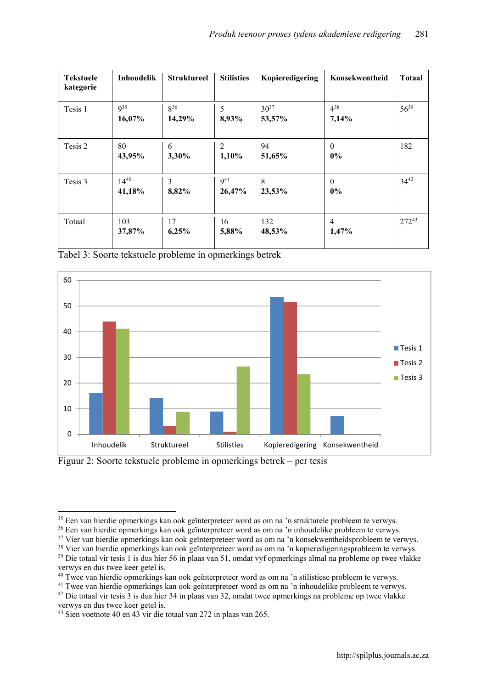| <b>Tekstuele</b><br>kategorie | Inhoudelik                | <b>Struktureel</b> | <b>Stilisties</b>         | Kopieredigering     | Konsekwentheid        | <b>Totaal</b> |
|-------------------------------|---------------------------|--------------------|---------------------------|---------------------|-----------------------|---------------|
| Tesis 1                       | 9 <sup>35</sup><br>16,07% | $8^{36}$<br>14,29% | 5<br>8,93%                | $30^{37}$<br>53,57% | $4^{38}$<br>7,14%     | $56^{39}$     |
| Tesis 2                       | 80<br>43,95%              | 6<br>3,30%         | 2<br>1,10%                | 94<br>51,65%        | $\mathbf{0}$<br>$0\%$ | 182           |
| Tesis 3                       | $14^{40}$<br>41,18%       | 3<br>8,82%         | 9 <sup>41</sup><br>26,47% | 8<br>23,53%         | $\theta$<br>$0\%$     | $34^{42}$     |
| Totaal                        | 103<br>37,87%             | 17<br>6,25%        | 16<br>5,88%               | 132<br>48,53%       | 4<br>1,47%            | $272^{43}$    |

Tabel 3: Soorte tekstuele probleme in opmerkings betrek



Figuur 2: Soorte tekstuele probleme in opmerkings betrek – per tesis

**.** 

<sup>&</sup>lt;sup>35</sup> Een van hierdie opmerkings kan ook geïnterpreteer word as om na 'n strukturele probleem te verwys.

<sup>36</sup> Een van hierdie opmerkings kan ook geïnterpreteer word as om na 'n inhoudelike probleem te verwys.

<sup>&</sup>lt;sup>37</sup> Vier van hierdie opmerkings kan ook geïnterpreteer word as om na 'n konsekwentheidsprobleem te verwys.

<sup>&</sup>lt;sup>38</sup> Vier van hierdie opmerkings kan ook geïnterpreteer word as om na 'n kopieredigeringsprobleem te verwys.

<sup>39</sup> Die totaal vir tesis 1 is dus hier 56 in plaas van 51, omdat vyf opmerkings almal na probleme op twee vlakke verwys en dus twee keer getel is.

<sup>&</sup>lt;sup>40</sup> Twee van hierdie opmerkings kan ook geïnterpreteer word as om na 'n stilistiese probleem te verwys.

<sup>&</sup>lt;sup>41</sup> Twee van hierdie opmerkings kan ook geïnterpreteer word as om na 'n inhoudelike probleem te verwys.

<sup>42</sup> Die totaal vir tesis 3 is dus hier 34 in plaas van 32, omdat twee opmerkings na probleme op twee vlakke verwys en dus twee keer getel is.

<sup>43</sup> Sien voetnote 40 en 43 vir die totaal van 272 in plaas van 265.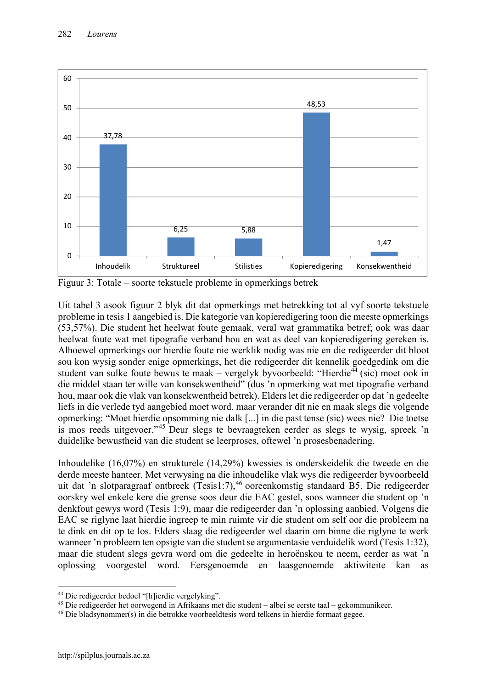

Figuur 3: Totale – soorte tekstuele probleme in opmerkings betrek

Uit tabel 3 asook figuur 2 blyk dit dat opmerkings met betrekking tot al vyf soorte tekstuele probleme in tesis 1 aangebied is. Die kategorie van kopieredigering toon die meeste opmerkings (53,57%). Die student het heelwat foute gemaak, veral wat grammatika betref; ook was daar heelwat foute wat met tipografie verband hou en wat as deel van kopieredigering gereken is. Alhoewel opmerkings oor hierdie foute nie werklik nodig was nie en die redigeerder dit bloot sou kon wysig sonder enige opmerkings, het die redigeerder dit kennelik goedgedink om die student van sulke foute bewus te maak – vergelyk byvoorbeeld: "Hierdie<sup>44</sup> (sic) moet ook in die middel staan ter wille van konsekwentheid" (dus 'n opmerking wat met tipografie verband hou, maar ook die vlak van konsekwentheid betrek). Elders let die redigeerder op dat 'n gedeelte liefs in die verlede tyd aangebied moet word, maar verander dit nie en maak slegs die volgende opmerking: "Moet hierdie opsomming nie dalk [...] in die past tense (sic) wees nie? Die toetse is mos reeds uitgevoer."<sup>45</sup> Deur slegs te bevraagteken eerder as slegs te wysig, spreek 'n duidelike bewustheid van die student se leerproses, oftewel 'n prosesbenadering.

Inhoudelike (16,07%) en strukturele (14,29%) kwessies is onderskeidelik die tweede en die derde meeste hanteer. Met verwysing na die inhoudelike vlak wys die redigeerder byvoorbeeld uit dat 'n slotparagraaf ontbreek (Tesis1:7),<sup>46</sup> ooreenkomstig standaard B5. Die redigeerder oorskry wel enkele kere die grense soos deur die EAC gestel, soos wanneer die student op 'n denkfout gewys word (Tesis 1:9), maar die redigeerder dan 'n oplossing aanbied. Volgens die EAC se riglyne laat hierdie ingreep te min ruimte vir die student om self oor die probleem na te dink en dit op te los. Elders slaag die redigeerder wel daarin om binne die riglyne te werk wanneer 'n probleem ten opsigte van die student se argumentasie verduidelik word (Tesis 1:32), maar die student slegs gevra word om die gedeelte in heroënskou te neem, eerder as wat 'n oplossing voorgestel word. Eersgenoemde en laasgenoemde aktiwiteite kan as

1

<sup>44</sup> Die redigeerder bedoel "[h]ierdie vergelyking".

<sup>45</sup> Die redigeerder het oorwegend in Afrikaans met die student – albei se eerste taal – gekommunikeer.

<sup>46</sup> Die bladsynommer(s) in die betrokke voorbeeldtesis word telkens in hierdie formaat gegee.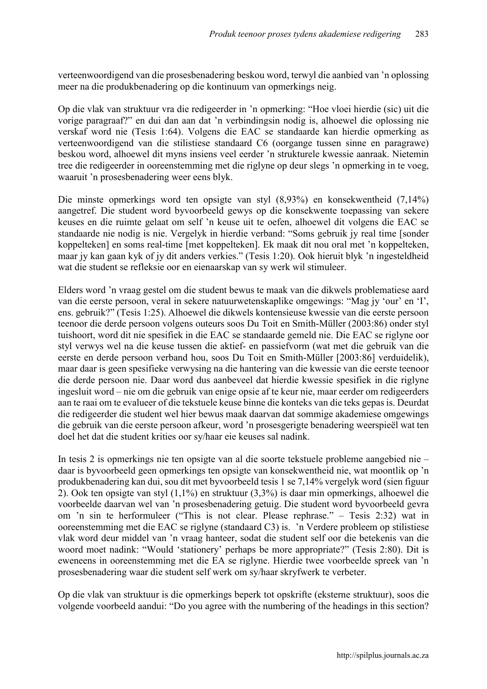verteenwoordigend van die prosesbenadering beskou word, terwyl die aanbied van 'n oplossing meer na die produkbenadering op die kontinuum van opmerkings neig.

Op die vlak van struktuur vra die redigeerder in 'n opmerking: "Hoe vloei hierdie (sic) uit die vorige paragraaf?" en dui dan aan dat 'n verbindingsin nodig is, alhoewel die oplossing nie verskaf word nie (Tesis 1:64). Volgens die EAC se standaarde kan hierdie opmerking as verteenwoordigend van die stilistiese standaard C6 (oorgange tussen sinne en paragrawe) beskou word, alhoewel dit myns insiens veel eerder 'n strukturele kwessie aanraak. Nietemin tree die redigeerder in ooreenstemming met die riglyne op deur slegs 'n opmerking in te voeg, waaruit 'n prosesbenadering weer eens blyk.

Die minste opmerkings word ten opsigte van styl (8,93%) en konsekwentheid (7,14%) aangetref. Die student word byvoorbeeld gewys op die konsekwente toepassing van sekere keuses en die ruimte gelaat om self 'n keuse uit te oefen, alhoewel dit volgens die EAC se standaarde nie nodig is nie. Vergelyk in hierdie verband: "Soms gebruik jy real time [sonder koppelteken] en soms real-time [met koppelteken]. Ek maak dit nou oral met 'n koppelteken, maar jy kan gaan kyk of jy dit anders verkies." (Tesis 1:20). Ook hieruit blyk 'n ingesteldheid wat die student se refleksie oor en eienaarskap van sy werk wil stimuleer.

Elders word 'n vraag gestel om die student bewus te maak van die dikwels problematiese aard van die eerste persoon, veral in sekere natuurwetenskaplike omgewings: "Mag jy 'our' en 'I', ens. gebruik?" (Tesis 1:25). Alhoewel die dikwels kontensieuse kwessie van die eerste persoon teenoor die derde persoon volgens outeurs soos Du Toit en Smith-Müller (2003:86) onder styl tuishoort, word dit nie spesifiek in die EAC se standaarde gemeld nie. Die EAC se riglyne oor styl verwys wel na die keuse tussen die aktief- en passiefvorm (wat met die gebruik van die eerste en derde persoon verband hou, soos Du Toit en Smith-Müller [2003:86] verduidelik), maar daar is geen spesifieke verwysing na die hantering van die kwessie van die eerste teenoor die derde persoon nie. Daar word dus aanbeveel dat hierdie kwessie spesifiek in die riglyne ingesluit word – nie om die gebruik van enige opsie af te keur nie, maar eerder om redigeerders aan te raai om te evalueer of die tekstuele keuse binne die konteks van die teks gepas is. Deurdat die redigeerder die student wel hier bewus maak daarvan dat sommige akademiese omgewings die gebruik van die eerste persoon afkeur, word 'n prosesgerigte benadering weerspieël wat ten doel het dat die student krities oor sy/haar eie keuses sal nadink.

In tesis 2 is opmerkings nie ten opsigte van al die soorte tekstuele probleme aangebied nie – daar is byvoorbeeld geen opmerkings ten opsigte van konsekwentheid nie, wat moontlik op 'n produkbenadering kan dui, sou dit met byvoorbeeld tesis 1 se 7,14% vergelyk word (sien figuur 2). Ook ten opsigte van styl (1,1%) en struktuur (3,3%) is daar min opmerkings, alhoewel die voorbeelde daarvan wel van 'n prosesbenadering getuig. Die student word byvoorbeeld gevra om 'n sin te herformuleer ("This is not clear. Please rephrase." – Tesis 2:32) wat in ooreenstemming met die EAC se riglyne (standaard C3) is. 'n Verdere probleem op stilistiese vlak word deur middel van 'n vraag hanteer, sodat die student self oor die betekenis van die woord moet nadink: "Would 'stationery' perhaps be more appropriate?" (Tesis 2:80). Dit is eweneens in ooreenstemming met die EA se riglyne. Hierdie twee voorbeelde spreek van 'n prosesbenadering waar die student self werk om sy/haar skryfwerk te verbeter.

Op die vlak van struktuur is die opmerkings beperk tot opskrifte (eksterne struktuur), soos die volgende voorbeeld aandui: "Do you agree with the numbering of the headings in this section?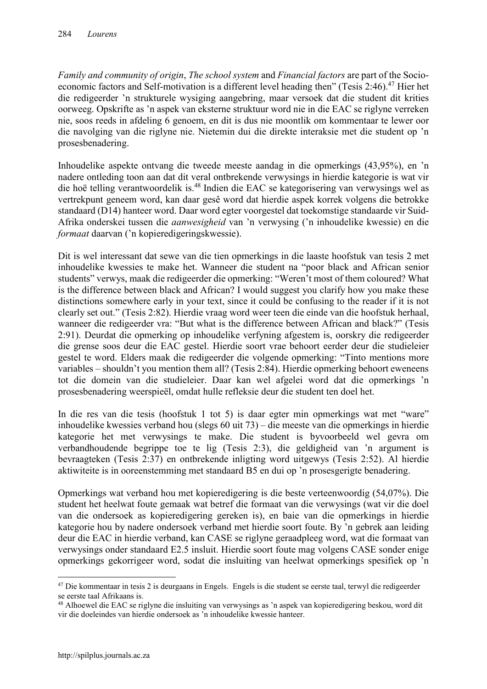*Family and community of origin*, *The school system* and *Financial factors* are part of the Socioeconomic factors and Self-motivation is a different level heading then" (Tesis 2:46).<sup>47</sup> Hier het die redigeerder 'n strukturele wysiging aangebring, maar versoek dat die student dit krities oorweeg. Opskrifte as 'n aspek van eksterne struktuur word nie in die EAC se riglyne verreken nie, soos reeds in afdeling 6 genoem, en dit is dus nie moontlik om kommentaar te lewer oor die navolging van die riglyne nie. Nietemin dui die direkte interaksie met die student op 'n prosesbenadering.

Inhoudelike aspekte ontvang die tweede meeste aandag in die opmerkings (43,95%), en 'n nadere ontleding toon aan dat dit veral ontbrekende verwysings in hierdie kategorie is wat vir die hoë telling verantwoordelik is.<sup>48</sup> Indien die EAC se kategorisering van verwysings wel as vertrekpunt geneem word, kan daar gesê word dat hierdie aspek korrek volgens die betrokke standaard (D14) hanteer word. Daar word egter voorgestel dat toekomstige standaarde vir Suid-Afrika onderskei tussen die *aanwesigheid* van 'n verwysing ('n inhoudelike kwessie) en die *formaat* daarvan ('n kopieredigeringskwessie).

Dit is wel interessant dat sewe van die tien opmerkings in die laaste hoofstuk van tesis 2 met inhoudelike kwessies te make het. Wanneer die student na "poor black and African senior students" verwys, maak die redigeerder die opmerking: "Weren't most of them coloured? What is the difference between black and African? I would suggest you clarify how you make these distinctions somewhere early in your text, since it could be confusing to the reader if it is not clearly set out." (Tesis 2:82). Hierdie vraag word weer teen die einde van die hoofstuk herhaal, wanneer die redigeerder vra: "But what is the difference between African and black?" (Tesis 2:91). Deurdat die opmerking op inhoudelike verfyning afgestem is, oorskry die redigeerder die grense soos deur die EAC gestel. Hierdie soort vrae behoort eerder deur die studieleier gestel te word. Elders maak die redigeerder die volgende opmerking: "Tinto mentions more variables – shouldn't you mention them all? (Tesis 2:84). Hierdie opmerking behoort eweneens tot die domein van die studieleier. Daar kan wel afgelei word dat die opmerkings 'n prosesbenadering weerspieël, omdat hulle refleksie deur die student ten doel het.

In die res van die tesis (hoofstuk 1 tot 5) is daar egter min opmerkings wat met "ware" inhoudelike kwessies verband hou (slegs 60 uit 73) – die meeste van die opmerkings in hierdie kategorie het met verwysings te make. Die student is byvoorbeeld wel gevra om verbandhoudende begrippe toe te lig (Tesis 2:3), die geldigheid van 'n argument is bevraagteken (Tesis 2:37) en ontbrekende inligting word uitgewys (Tesis 2:52). Al hierdie aktiwiteite is in ooreenstemming met standaard B5 en dui op 'n prosesgerigte benadering.

Opmerkings wat verband hou met kopieredigering is die beste verteenwoordig (54,07%). Die student het heelwat foute gemaak wat betref die formaat van die verwysings (wat vir die doel van die ondersoek as kopieredigering gereken is), en baie van die opmerkings in hierdie kategorie hou by nadere ondersoek verband met hierdie soort foute. By 'n gebrek aan leiding deur die EAC in hierdie verband, kan CASE se riglyne geraadpleeg word, wat die formaat van verwysings onder standaard E2.5 insluit. Hierdie soort foute mag volgens CASE sonder enige opmerkings gekorrigeer word, sodat die insluiting van heelwat opmerkings spesifiek op 'n

**.** 

<sup>47</sup> Die kommentaar in tesis 2 is deurgaans in Engels. Engels is die student se eerste taal, terwyl die redigeerder se eerste taal Afrikaans is.

<sup>48</sup> Alhoewel die EAC se riglyne die insluiting van verwysings as 'n aspek van kopieredigering beskou, word dit vir die doeleindes van hierdie ondersoek as 'n inhoudelike kwessie hanteer.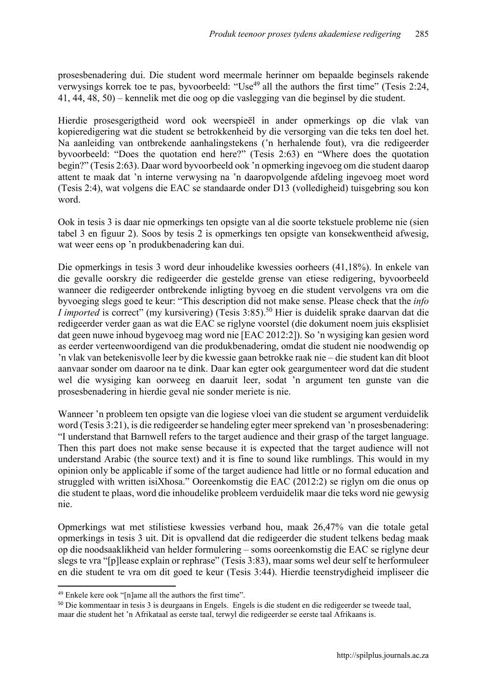prosesbenadering dui. Die student word meermale herinner om bepaalde beginsels rakende verwysings korrek toe te pas, byvoorbeeld: "Use<sup>49</sup> all the authors the first time" (Tesis 2:24, 41, 44, 48, 50) – kennelik met die oog op die vaslegging van die beginsel by die student.

Hierdie prosesgerigtheid word ook weerspieël in ander opmerkings op die vlak van kopieredigering wat die student se betrokkenheid by die versorging van die teks ten doel het. Na aanleiding van ontbrekende aanhalingstekens ('n herhalende fout), vra die redigeerder byvoorbeeld: "Does the quotation end here?" (Tesis 2:63) en "Where does the quotation begin?" (Tesis 2:63). Daar word byvoorbeeld ook 'n opmerking ingevoeg om die student daarop attent te maak dat 'n interne verwysing na 'n daaropvolgende afdeling ingevoeg moet word (Tesis 2:4), wat volgens die EAC se standaarde onder D13 (volledigheid) tuisgebring sou kon word.

Ook in tesis 3 is daar nie opmerkings ten opsigte van al die soorte tekstuele probleme nie (sien tabel 3 en figuur 2). Soos by tesis 2 is opmerkings ten opsigte van konsekwentheid afwesig, wat weer eens op 'n produkbenadering kan dui.

Die opmerkings in tesis 3 word deur inhoudelike kwessies oorheers (41,18%). In enkele van die gevalle oorskry die redigeerder die gestelde grense van etiese redigering, byvoorbeeld wanneer die redigeerder ontbrekende inligting byvoeg en die student vervolgens vra om die byvoeging slegs goed te keur: "This description did not make sense. Please check that the *info I imported* is correct" (my kursivering) (Tesis 3:85).<sup>50</sup> Hier is duidelik sprake daarvan dat die redigeerder verder gaan as wat die EAC se riglyne voorstel (die dokument noem juis eksplisiet dat geen nuwe inhoud bygevoeg mag word nie [EAC 2012:2]). So 'n wysiging kan gesien word as eerder verteenwoordigend van die produkbenadering, omdat die student nie noodwendig op 'n vlak van betekenisvolle leer by die kwessie gaan betrokke raak nie – die student kan dit bloot aanvaar sonder om daaroor na te dink. Daar kan egter ook geargumenteer word dat die student wel die wysiging kan oorweeg en daaruit leer, sodat 'n argument ten gunste van die prosesbenadering in hierdie geval nie sonder meriete is nie.

Wanneer 'n probleem ten opsigte van die logiese vloei van die student se argument verduidelik word (Tesis 3:21), is die redigeerder se handeling egter meer sprekend van 'n prosesbenadering: "I understand that Barnwell refers to the target audience and their grasp of the target language. Then this part does not make sense because it is expected that the target audience will not understand Arabic (the source text) and it is fine to sound like rumblings. This would in my opinion only be applicable if some of the target audience had little or no formal education and struggled with written isiXhosa." Ooreenkomstig die EAC (2012:2) se riglyn om die onus op die student te plaas, word die inhoudelike probleem verduidelik maar die teks word nie gewysig nie.

Opmerkings wat met stilistiese kwessies verband hou, maak 26,47% van die totale getal opmerkings in tesis 3 uit. Dit is opvallend dat die redigeerder die student telkens bedag maak op die noodsaaklikheid van helder formulering – soms ooreenkomstig die EAC se riglyne deur slegs te vra "[p]lease explain or rephrase" (Tesis 3:83), maar soms wel deur self te herformuleer en die student te vra om dit goed te keur (Tesis 3:44). Hierdie teenstrydigheid impliseer die

 $\overline{a}$ 

<sup>49</sup> Enkele kere ook "[n]ame all the authors the first time".

<sup>50</sup> Die kommentaar in tesis 3 is deurgaans in Engels. Engels is die student en die redigeerder se tweede taal, maar die student het 'n Afrikataal as eerste taal, terwyl die redigeerder se eerste taal Afrikaans is.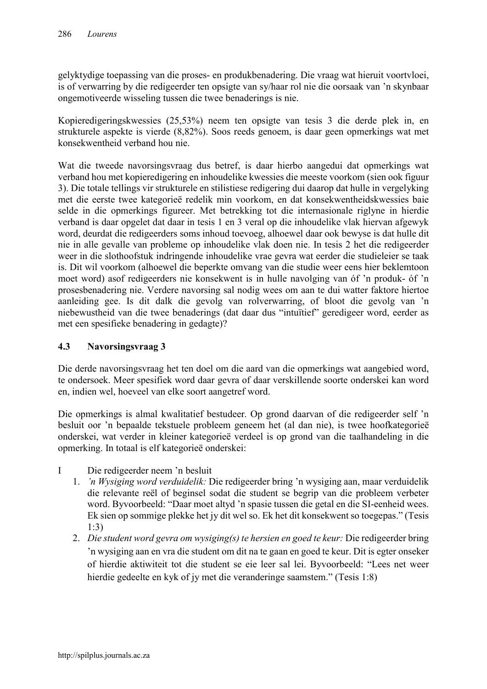gelyktydige toepassing van die proses- en produkbenadering. Die vraag wat hieruit voortvloei, is of verwarring by die redigeerder ten opsigte van sy/haar rol nie die oorsaak van 'n skynbaar ongemotiveerde wisseling tussen die twee benaderings is nie.

Kopieredigeringskwessies (25,53%) neem ten opsigte van tesis 3 die derde plek in, en strukturele aspekte is vierde (8,82%). Soos reeds genoem, is daar geen opmerkings wat met konsekwentheid verband hou nie.

Wat die tweede navorsingsvraag dus betref, is daar hierbo aangedui dat opmerkings wat verband hou met kopieredigering en inhoudelike kwessies die meeste voorkom (sien ook figuur 3). Die totale tellings vir strukturele en stilistiese redigering dui daarop dat hulle in vergelyking met die eerste twee kategorieë redelik min voorkom, en dat konsekwentheidskwessies baie selde in die opmerkings figureer. Met betrekking tot die internasionale riglyne in hierdie verband is daar opgelet dat daar in tesis 1 en 3 veral op die inhoudelike vlak hiervan afgewyk word, deurdat die redigeerders soms inhoud toevoeg, alhoewel daar ook bewyse is dat hulle dit nie in alle gevalle van probleme op inhoudelike vlak doen nie. In tesis 2 het die redigeerder weer in die slothoofstuk indringende inhoudelike vrae gevra wat eerder die studieleier se taak is. Dit wil voorkom (alhoewel die beperkte omvang van die studie weer eens hier beklemtoon moet word) asof redigeerders nie konsekwent is in hulle navolging van óf 'n produk- óf 'n prosesbenadering nie. Verdere navorsing sal nodig wees om aan te dui watter faktore hiertoe aanleiding gee. Is dit dalk die gevolg van rolverwarring, of bloot die gevolg van 'n niebewustheid van die twee benaderings (dat daar dus "intuïtief" geredigeer word, eerder as met een spesifieke benadering in gedagte)?

### 4.3 Navorsingsvraag 3

Die derde navorsingsvraag het ten doel om die aard van die opmerkings wat aangebied word, te ondersoek. Meer spesifiek word daar gevra of daar verskillende soorte onderskei kan word en, indien wel, hoeveel van elke soort aangetref word.

Die opmerkings is almal kwalitatief bestudeer. Op grond daarvan of die redigeerder self 'n besluit oor 'n bepaalde tekstuele probleem geneem het (al dan nie), is twee hoofkategorieë onderskei, wat verder in kleiner kategorieë verdeel is op grond van die taalhandeling in die opmerking. In totaal is elf kategorieë onderskei:

- I Die redigeerder neem 'n besluit
	- 1. *'n Wysiging word verduidelik:* Die redigeerder bring 'n wysiging aan, maar verduidelik die relevante reël of beginsel sodat die student se begrip van die probleem verbeter word. Byvoorbeeld: "Daar moet altyd 'n spasie tussen die getal en die SI-eenheid wees. Ek sien op sommige plekke het jy dit wel so. Ek het dit konsekwent so toegepas." (Tesis 1:3)
	- 2. *Die student word gevra om wysiging(s) te hersien en goed te keur:* Die redigeerder bring 'n wysiging aan en vra die student om dit na te gaan en goed te keur. Dit is egter onseker of hierdie aktiwiteit tot die student se eie leer sal lei. Byvoorbeeld: "Lees net weer hierdie gedeelte en kyk of jy met die veranderinge saamstem." (Tesis 1:8)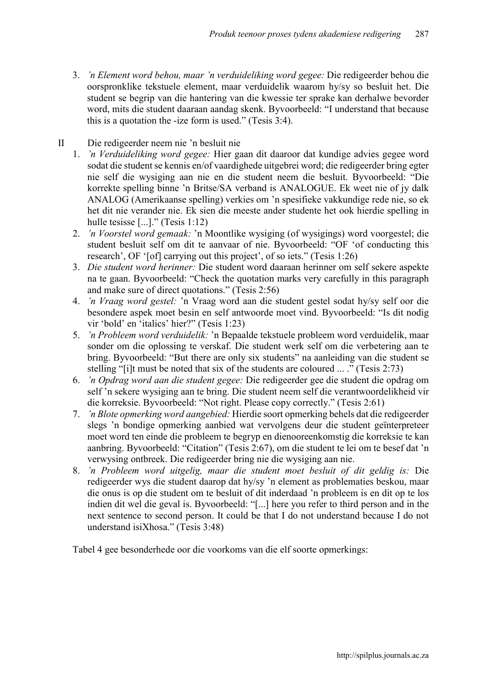- 3. *'n Element word behou, maar 'n verduideliking word gegee:* Die redigeerder behou die oorspronklike tekstuele element, maar verduidelik waarom hy/sy so besluit het. Die student se begrip van die hantering van die kwessie ter sprake kan derhalwe bevorder word, mits die student daaraan aandag skenk. Byvoorbeeld: "I understand that because this is a quotation the -ize form is used." (Tesis 3:4).
- II Die redigeerder neem nie 'n besluit nie
	- 1. *'n Verduideliking word gegee:* Hier gaan dit daaroor dat kundige advies gegee word sodat die student se kennis en/of vaardighede uitgebrei word; die redigeerder bring egter nie self die wysiging aan nie en die student neem die besluit. Byvoorbeeld: "Die korrekte spelling binne 'n Britse/SA verband is ANALOGUE. Ek weet nie of jy dalk ANALOG (Amerikaanse spelling) verkies om 'n spesifieke vakkundige rede nie, so ek het dit nie verander nie. Ek sien die meeste ander studente het ook hierdie spelling in hulle tesisse [...]." (Tesis 1:12)
	- 2. *'n Voorstel word gemaak:* 'n Moontlike wysiging (of wysigings) word voorgestel; die student besluit self om dit te aanvaar of nie. Byvoorbeeld: "OF 'of conducting this research', OF '[of] carrying out this project', of so jets." (Tesis 1:26)
	- 3. *Die student word herinner:* Die student word daaraan herinner om self sekere aspekte na te gaan. Byvoorbeeld: "Check the quotation marks very carefully in this paragraph and make sure of direct quotations." (Tesis 2:56)
	- 4. *'n Vraag word gestel:* 'n Vraag word aan die student gestel sodat hy/sy self oor die besondere aspek moet besin en self antwoorde moet vind. Byvoorbeeld: "Is dit nodig vir 'bold' en 'italics' hier?" (Tesis 1:23)
	- 5. *'n Probleem word verduidelik:* 'n Bepaalde tekstuele probleem word verduidelik, maar sonder om die oplossing te verskaf. Die student werk self om die verbetering aan te bring. Byvoorbeeld: "But there are only six students" na aanleiding van die student se stelling "[i]t must be noted that six of the students are coloured ... ." (Tesis 2:73)
	- 6. *'n Opdrag word aan die student gegee:* Die redigeerder gee die student die opdrag om self 'n sekere wysiging aan te bring. Die student neem self die verantwoordelikheid vir die korreksie. Byvoorbeeld: "Not right. Please copy correctly." (Tesis 2:61)
	- 7. *'n Blote opmerking word aangebied:* Hierdie soort opmerking behels dat die redigeerder slegs 'n bondige opmerking aanbied wat vervolgens deur die student geïnterpreteer moet word ten einde die probleem te begryp en dienooreenkomstig die korreksie te kan aanbring. Byvoorbeeld: "Citation" (Tesis 2:67), om die student te lei om te besef dat 'n verwysing ontbreek. Die redigeerder bring nie die wysiging aan nie.
	- 8. *'n Probleem word uitgelig, maar die student moet besluit of dit geldig is:* Die redigeerder wys die student daarop dat hy/sy 'n element as problematies beskou, maar die onus is op die student om te besluit of dit inderdaad 'n probleem is en dit op te los indien dit wel die geval is. Byvoorbeeld: "[...] here you refer to third person and in the next sentence to second person. It could be that I do not understand because I do not understand isiXhosa." (Tesis 3:48)

Tabel 4 gee besonderhede oor die voorkoms van die elf soorte opmerkings: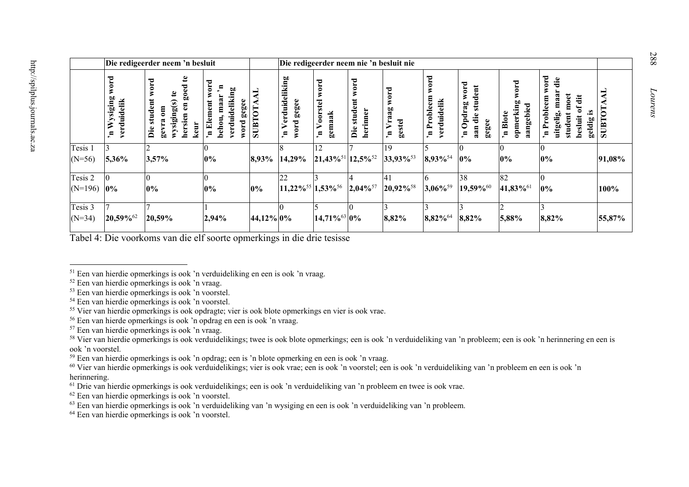|                      | Die redigeerder neem 'n besluit  |                                                                                                           |                                                                                            |                | Die redigeerder neem nie 'n besluit nie                |                                          |                                    |                                                             |                                                          |                                                                                        |                                            |                                                                                                                |        |
|----------------------|----------------------------------|-----------------------------------------------------------------------------------------------------------|--------------------------------------------------------------------------------------------|----------------|--------------------------------------------------------|------------------------------------------|------------------------------------|-------------------------------------------------------------|----------------------------------------------------------|----------------------------------------------------------------------------------------|--------------------------------------------|----------------------------------------------------------------------------------------------------------------|--------|
|                      | 定<br>siging<br>verduidelik<br>H, | $\mathbf{e}$<br>word<br>ಕ<br>ē.<br>Ë<br>ಾ<br>wysiging<br>نه<br>stud<br>hersien<br>ឌ<br>keur<br>Ďie<br>sec | word<br>≃<br>verduideliking<br>maar<br>gegee<br>Element<br>behou<br>word<br>n <sub>c</sub> | <b>SUBTOTA</b> | <b>Verduideliking</b><br>gegee<br>word<br>$\mathbf{u}$ | 묨<br>orstel<br>gemaak<br>$\bullet$<br>п, | word<br>student<br>herinner<br>Die | word<br>$a_{\overline{2}}$<br>Vra<br>gestel<br>$\mathbf{a}$ | word<br>Probleem<br>verduidelik<br>$\mathbf{u}_\epsilon$ | word<br>dent<br>stu<br>60<br>pdra<br>die<br>gegee<br>Ć<br>aan<br>$\mathbf{u}_\epsilon$ | word<br>opmerking<br>aangebied<br>'n Blote | word<br>die<br>maa<br>moet<br>ät<br>eem<br>đ<br>Probl<br>.≌<br>student<br>uitgelig<br>besluit<br>geldig<br>'n, | SUBT   |
| Tesis 1<br>$(N=56)$  | 5,36%                            | 3,57%                                                                                                     | 0%                                                                                         | 8,93%          | 14,29%                                                 | 12<br>$21,43\%^{51}$ 12,5% <sup>52</sup> |                                    | 19<br>$33,93\%$ <sup>53</sup>                               | 8,93% <sup>54</sup>                                      | $0\%$                                                                                  | $0\%$                                      | $0\%$                                                                                                          | 91,08% |
| Tesis 2<br>$(N=196)$ | Ю<br>0%                          | $0\%$                                                                                                     | $0\%$                                                                                      | 0%             | 22<br>$11,22\%^{55}$                                   | $1,53\%$ <sup>56</sup>                   | 2,04% <sup>57</sup>                | 41<br>20,92% <sup>58</sup>                                  | 3,06%59                                                  | 38<br>19,59%                                                                           | 82<br>41,83% <sup>61</sup>                 | $0\%$                                                                                                          | 100%   |
| Tesis 3<br>$(N=34)$  | 20,59%62                         | 20,59%                                                                                                    | 2,94%                                                                                      | 44,12% 0%      |                                                        | 14,71% <sup>63</sup> 0%                  |                                    | 8,82%                                                       | $8,82\%$ <sup>64</sup>                                   | 8,82%                                                                                  | 5,88%                                      | 8,82%                                                                                                          | 55,87% |

Tabel 4: Die voorkoms van die elf soorte opmerkings in die drie tesisse

<sup>64</sup> Een van hierdie opmerkings is ook 'n voorstel.

<sup>1</sup> <sup>51</sup> Een van hierdie opmerkings is ook 'n verduideliking en een is ook 'n vraag.

 $52$  Een van hierdie opmerkings is ook 'n vraag.

<sup>53</sup> Een van hierdie opmerkings is ook 'n voorstel.

<sup>54</sup> Een van hierdie opmerkings is ook 'n voorstel.

<sup>&</sup>lt;sup>55</sup> Vier van hierdie opmerkings is ook opdragte; vier is ook blote opmerkings en vier is ook vrae.

<sup>56</sup> Een van hierde opmerkings is ook 'n opdrag en een is ook 'n vraag.

<sup>57</sup> Een van hierdie opmerkings is ook 'n vraag.

<sup>&</sup>lt;sup>58</sup> Vier van hierdie opmerkings is ook verduidelikings; twee is ook blote opmerkings; een is ook 'n verduideliking van 'n probleem; een is ook 'n herinnering en een is ook 'n voorstel.

<sup>59</sup> Een van hierdie opmerkings is ook 'n opdrag; een is 'n blote opmerking en een is ook 'n vraag.

 $60$  Vier van hierdie opmerkings is ook verduidelikings; vier is ook vrae; een is ook 'n voorstel; een is ook 'n verduideliking van 'n probleem en een is ook 'n herinnering.

 $<sup>61</sup>$  Drie van hierdie opmerkings is ook verduidelikings; een is ook 'n verduideliking van 'n probleem en twee is ook vrae.</sup>

 $62$  Een van hierdie opmerkings is ook 'n voorstel.

<sup>63</sup> Een van hierdie opmerkings is ook 'n verduideliking van 'n wysiging en een is ook 'n verduideliking van 'n probleem.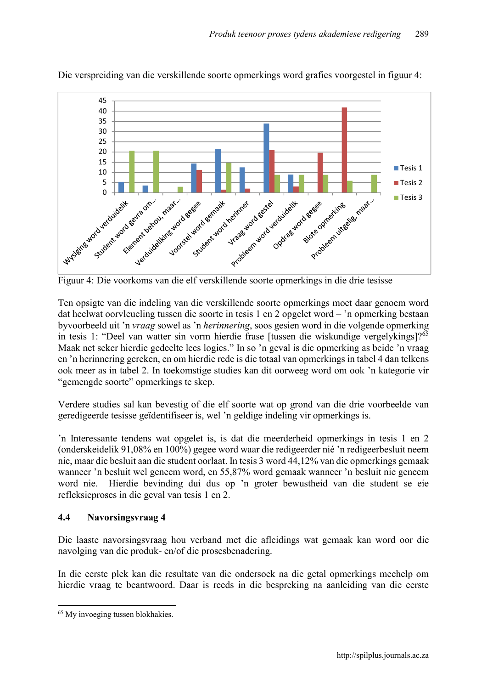

Die verspreiding van die verskillende soorte opmerkings word grafies voorgestel in figuur 4:

Figuur 4: Die voorkoms van die elf verskillende soorte opmerkings in die drie tesisse

Ten opsigte van die indeling van die verskillende soorte opmerkings moet daar genoem word dat heelwat oorvleueling tussen die soorte in tesis 1 en 2 opgelet word – 'n opmerking bestaan byvoorbeeld uit 'n *vraag* sowel as 'n *herinnering*, soos gesien word in die volgende opmerking in tesis 1: "Deel van watter sin vorm hierdie frase [tussen die wiskundige vergelykings]?<sup>65</sup> Maak net seker hierdie gedeelte lees logies." In so 'n geval is die opmerking as beide 'n vraag en 'n herinnering gereken, en om hierdie rede is die totaal van opmerkings in tabel 4 dan telkens ook meer as in tabel 2. In toekomstige studies kan dit oorweeg word om ook 'n kategorie vir "gemengde soorte" opmerkings te skep.

Verdere studies sal kan bevestig of die elf soorte wat op grond van die drie voorbeelde van geredigeerde tesisse geïdentifiseer is, wel 'n geldige indeling vir opmerkings is.

'n Interessante tendens wat opgelet is, is dat die meerderheid opmerkings in tesis 1 en 2 (onderskeidelik 91,08% en 100%) gegee word waar die redigeerder nié 'n redigeerbesluit neem nie, maar die besluit aan die student oorlaat. In tesis 3 word 44,12% van die opmerkings gemaak wanneer 'n besluit wel geneem word, en 55,87% word gemaak wanneer 'n besluit nie geneem word nie. Hierdie bevinding dui dus op 'n groter bewustheid van die student se eie refleksieproses in die geval van tesis 1 en 2.

### 4.4 Navorsingsvraag 4

Die laaste navorsingsvraag hou verband met die afleidings wat gemaak kan word oor die navolging van die produk- en/of die prosesbenadering.

In die eerste plek kan die resultate van die ondersoek na die getal opmerkings meehelp om hierdie vraag te beantwoord. Daar is reeds in die bespreking na aanleiding van die eerste

 $\overline{a}$ <sup>65</sup> My invoeging tussen blokhakies.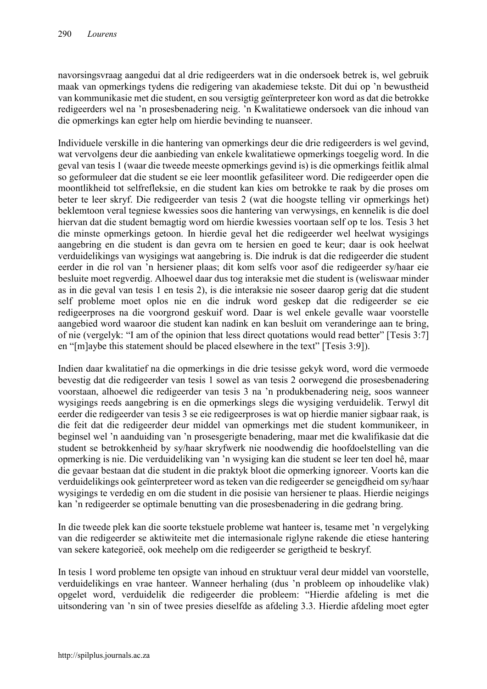navorsingsvraag aangedui dat al drie redigeerders wat in die ondersoek betrek is, wel gebruik maak van opmerkings tydens die redigering van akademiese tekste. Dit dui op 'n bewustheid van kommunikasie met die student, en sou versigtig geïnterpreteer kon word as dat die betrokke redigeerders wel na 'n prosesbenadering neig. 'n Kwalitatiewe ondersoek van die inhoud van die opmerkings kan egter help om hierdie bevinding te nuanseer.

Individuele verskille in die hantering van opmerkings deur die drie redigeerders is wel gevind, wat vervolgens deur die aanbieding van enkele kwalitatiewe opmerkings toegelig word. In die geval van tesis 1 (waar die tweede meeste opmerkings gevind is) is die opmerkings feitlik almal so geformuleer dat die student se eie leer moontlik gefasiliteer word. Die redigeerder open die moontlikheid tot selfrefleksie, en die student kan kies om betrokke te raak by die proses om beter te leer skryf. Die redigeerder van tesis 2 (wat die hoogste telling vir opmerkings het) beklemtoon veral tegniese kwessies soos die hantering van verwysings, en kennelik is die doel hiervan dat die student bemagtig word om hierdie kwessies voortaan self op te los. Tesis 3 het die minste opmerkings getoon. In hierdie geval het die redigeerder wel heelwat wysigings aangebring en die student is dan gevra om te hersien en goed te keur; daar is ook heelwat verduidelikings van wysigings wat aangebring is. Die indruk is dat die redigeerder die student eerder in die rol van 'n hersiener plaas; dit kom selfs voor asof die redigeerder sy/haar eie besluite moet regverdig. Alhoewel daar dus tog interaksie met die student is (weliswaar minder as in die geval van tesis 1 en tesis 2), is die interaksie nie soseer daarop gerig dat die student self probleme moet oplos nie en die indruk word geskep dat die redigeerder se eie redigeerproses na die voorgrond geskuif word. Daar is wel enkele gevalle waar voorstelle aangebied word waaroor die student kan nadink en kan besluit om veranderinge aan te bring, of nie (vergelyk: "I am of the opinion that less direct quotations would read better" [Tesis 3:7] en "[m]aybe this statement should be placed elsewhere in the text" [Tesis 3:9]).

Indien daar kwalitatief na die opmerkings in die drie tesisse gekyk word, word die vermoede bevestig dat die redigeerder van tesis 1 sowel as van tesis 2 oorwegend die prosesbenadering voorstaan, alhoewel die redigeerder van tesis 3 na 'n produkbenadering neig, soos wanneer wysigings reeds aangebring is en die opmerkings slegs die wysiging verduidelik. Terwyl dit eerder die redigeerder van tesis 3 se eie redigeerproses is wat op hierdie manier sigbaar raak, is die feit dat die redigeerder deur middel van opmerkings met die student kommunikeer, in beginsel wel 'n aanduiding van 'n prosesgerigte benadering, maar met die kwalifikasie dat die student se betrokkenheid by sy/haar skryfwerk nie noodwendig die hoofdoelstelling van die opmerking is nie. Die verduideliking van 'n wysiging kan die student se leer ten doel hê, maar die gevaar bestaan dat die student in die praktyk bloot die opmerking ignoreer. Voorts kan die verduidelikings ook geïnterpreteer word as teken van die redigeerder se geneigdheid om sy/haar wysigings te verdedig en om die student in die posisie van hersiener te plaas. Hierdie neigings kan 'n redigeerder se optimale benutting van die prosesbenadering in die gedrang bring.

In die tweede plek kan die soorte tekstuele probleme wat hanteer is, tesame met 'n vergelyking van die redigeerder se aktiwiteite met die internasionale riglyne rakende die etiese hantering van sekere kategorieë, ook meehelp om die redigeerder se gerigtheid te beskryf.

In tesis 1 word probleme ten opsigte van inhoud en struktuur veral deur middel van voorstelle, verduidelikings en vrae hanteer. Wanneer herhaling (dus 'n probleem op inhoudelike vlak) opgelet word, verduidelik die redigeerder die probleem: "Hierdie afdeling is met die uitsondering van 'n sin of twee presies dieselfde as afdeling 3.3. Hierdie afdeling moet egter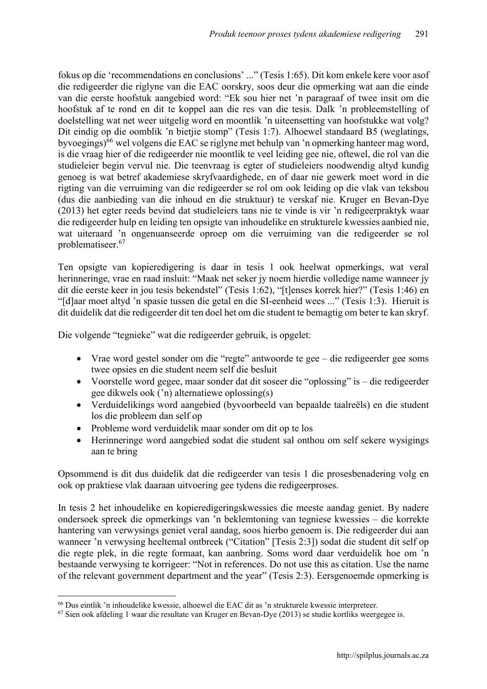fokus op die 'recommendations en conclusions' ..." (Tesis 1:65). Dit kom enkele kere voor asof die redigeerder die riglyne van die EAC oorskry, soos deur die opmerking wat aan die einde van die eerste hoofstuk aangebied word: "Ek sou hier net 'n paragraaf of twee insit om die hoofstuk af te rond en dit te koppel aan die res van die tesis. Dalk 'n probleemstelling of doelstelling wat net weer uitgelig word en moontlik 'n uiteensetting van hoofstukke wat volg? Dit eindig op die oomblik 'n bietjie stomp" (Tesis 1:7). Alhoewel standaard B5 (weglatings, byvoegings)<sup>66</sup> wel volgens die EAC se riglyne met behulp van 'n opmerking hanteer mag word, is die vraag hier of die redigeerder nie moontlik te veel leiding gee nie, oftewel, die rol van die studieleier begin vervul nie. Die teenvraag is egter of studieleiers noodwendig altyd kundig genoeg is wat betref akademiese skryfvaardighede, en of daar nie gewerk moet word in die rigting van die verruiming van die redigeerder se rol om ook leiding op die vlak van teksbou (dus die aanbieding van die inhoud en die struktuur) te verskaf nie. Kruger en Bevan-Dye (2013) het egter reeds bevind dat studieleiers tans nie te vinde is vir 'n redigeerpraktyk waar die redigeerder hulp en leiding ten opsigte van inhoudelike en strukturele kwessies aanbied nie, wat uiteraard 'n ongenuanseerde oproep om die verruiming van die redigeerder se rol problematiseer.<sup>67</sup>

Ten opsigte van kopieredigering is daar in tesis 1 ook heelwat opmerkings, wat veral herinneringe, vrae en raad insluit: "Maak net seker jy noem hierdie volledige name wanneer jy dit die eerste keer in jou tesis bekendstel" (Tesis 1:62), "[t]enses korrek hier?" (Tesis 1:46) en "[d]aar moet altyd 'n spasie tussen die getal en die SI-eenheid wees ..." (Tesis 1:3). Hieruit is dit duidelik dat die redigeerder dit ten doel het om die student te bemagtig om beter te kan skryf.

Die volgende "tegnieke" wat die redigeerder gebruik, is opgelet:

- Vrae word gestel sonder om die "regte" antwoorde te gee die redigeerder gee soms twee opsies en die student neem self die besluit
- Voorstelle word gegee, maar sonder dat dit soseer die "oplossing" is die redigeerder gee dikwels ook ('n) alternatiewe oplossing(s)
- Verduidelikings word aangebied (byvoorbeeld van bepaalde taalreëls) en die student los die probleem dan self op
- Probleme word verduidelik maar sonder om dit op te los
- Herinneringe word aangebied sodat die student sal onthou om self sekere wysigings aan te bring

Opsommend is dit dus duidelik dat die redigeerder van tesis 1 die prosesbenadering volg en ook op praktiese vlak daaraan uitvoering gee tydens die redigeerproses.

In tesis 2 het inhoudelike en kopieredigeringskwessies die meeste aandag geniet. By nadere ondersoek spreek die opmerkings van 'n beklemtoning van tegniese kwessies – die korrekte hantering van verwysings geniet veral aandag, soos hierbo genoem is. Die redigeerder dui aan wanneer 'n verwysing heeltemal ontbreek ("Citation" [Tesis 2:3]) sodat die student dit self op die regte plek, in die regte formaat, kan aanbring. Soms word daar verduidelik hoe om 'n bestaande verwysing te korrigeer: "Not in references. Do not use this as citation. Use the name of the relevant government department and the year" (Tesis 2:3). Eersgenoemde opmerking is

<sup>1</sup> <sup>66</sup> Dus eintlik 'n inhoudelike kwessie, alhoewel die EAC dit as 'n strukturele kwessie interpreteer.

<sup>67</sup> Sien ook afdeling 1 waar die resultate van Kruger en Bevan-Dye (2013) se studie kortliks weergegee is.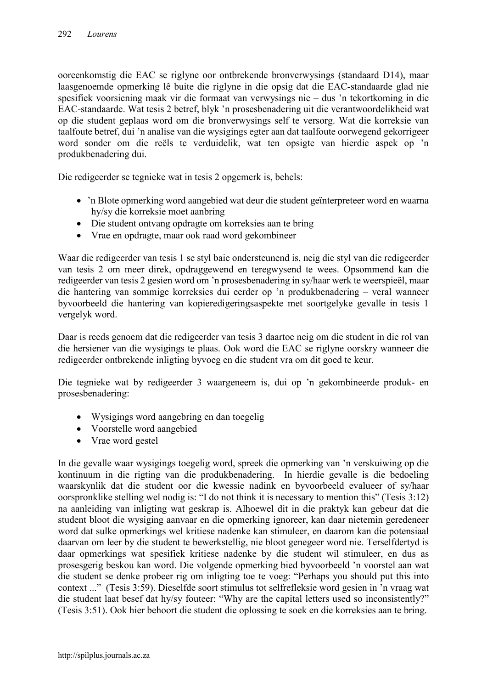ooreenkomstig die EAC se riglyne oor ontbrekende bronverwysings (standaard D14), maar laasgenoemde opmerking lê buite die riglyne in die opsig dat die EAC-standaarde glad nie spesifiek voorsiening maak vir die formaat van verwysings nie – dus 'n tekortkoming in die EAC-standaarde. Wat tesis 2 betref, blyk 'n prosesbenadering uit die verantwoordelikheid wat op die student geplaas word om die bronverwysings self te versorg. Wat die korreksie van taalfoute betref, dui 'n analise van die wysigings egter aan dat taalfoute oorwegend gekorrigeer word sonder om die reëls te verduidelik, wat ten opsigte van hierdie aspek op 'n produkbenadering dui.

Die redigeerder se tegnieke wat in tesis 2 opgemerk is, behels:

- 'n Blote opmerking word aangebied wat deur die student geïnterpreteer word en waarna hy/sy die korreksie moet aanbring
- Die student ontvang opdragte om korreksies aan te bring
- Vrae en opdragte, maar ook raad word gekombineer

Waar die redigeerder van tesis 1 se styl baie ondersteunend is, neig die styl van die redigeerder van tesis 2 om meer direk, opdraggewend en teregwysend te wees. Opsommend kan die redigeerder van tesis 2 gesien word om 'n prosesbenadering in sy/haar werk te weerspieël, maar die hantering van sommige korreksies dui eerder op 'n produkbenadering – veral wanneer byvoorbeeld die hantering van kopieredigeringsaspekte met soortgelyke gevalle in tesis 1 vergelyk word.

Daar is reeds genoem dat die redigeerder van tesis 3 daartoe neig om die student in die rol van die hersiener van die wysigings te plaas. Ook word die EAC se riglyne oorskry wanneer die redigeerder ontbrekende inligting byvoeg en die student vra om dit goed te keur.

Die tegnieke wat by redigeerder 3 waargeneem is, dui op 'n gekombineerde produk- en prosesbenadering:

- Wysigings word aangebring en dan toegelig
- Voorstelle word aangebied
- Vrae word gestel

In die gevalle waar wysigings toegelig word, spreek die opmerking van 'n verskuiwing op die kontinuum in die rigting van die produkbenadering. In hierdie gevalle is die bedoeling waarskynlik dat die student oor die kwessie nadink en byvoorbeeld evalueer of sy/haar oorspronklike stelling wel nodig is: "I do not think it is necessary to mention this" (Tesis 3:12) na aanleiding van inligting wat geskrap is. Alhoewel dit in die praktyk kan gebeur dat die student bloot die wysiging aanvaar en die opmerking ignoreer, kan daar nietemin geredeneer word dat sulke opmerkings wel kritiese nadenke kan stimuleer, en daarom kan die potensiaal daarvan om leer by die student te bewerkstellig, nie bloot genegeer word nie. Terselfdertyd is daar opmerkings wat spesifiek kritiese nadenke by die student wil stimuleer, en dus as prosesgerig beskou kan word. Die volgende opmerking bied byvoorbeeld 'n voorstel aan wat die student se denke probeer rig om inligting toe te voeg: "Perhaps you should put this into context ..." (Tesis 3:59). Dieselfde soort stimulus tot selfrefleksie word gesien in 'n vraag wat die student laat besef dat hy/sy fouteer: "Why are the capital letters used so inconsistently?" (Tesis 3:51). Ook hier behoort die student die oplossing te soek en die korreksies aan te bring.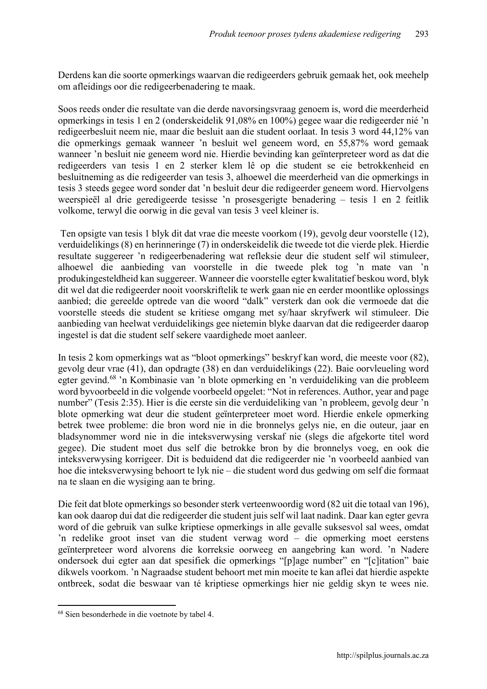Derdens kan die soorte opmerkings waarvan die redigeerders gebruik gemaak het, ook meehelp om afleidings oor die redigeerbenadering te maak.

Soos reeds onder die resultate van die derde navorsingsvraag genoem is, word die meerderheid opmerkings in tesis 1 en 2 (onderskeidelik 91,08% en 100%) gegee waar die redigeerder nié 'n redigeerbesluit neem nie, maar die besluit aan die student oorlaat. In tesis 3 word 44,12% van die opmerkings gemaak wanneer 'n besluit wel geneem word, en 55,87% word gemaak wanneer 'n besluit nie geneem word nie. Hierdie bevinding kan geïnterpreteer word as dat die redigeerders van tesis 1 en 2 sterker klem lê op die student se eie betrokkenheid en besluitneming as die redigeerder van tesis 3, alhoewel die meerderheid van die opmerkings in tesis 3 steeds gegee word sonder dat 'n besluit deur die redigeerder geneem word. Hiervolgens weerspieël al drie geredigeerde tesisse 'n prosesgerigte benadering – tesis 1 en 2 feitlik volkome, terwyl die oorwig in die geval van tesis 3 veel kleiner is.

Ten opsigte van tesis 1 blyk dit dat vrae die meeste voorkom (19), gevolg deur voorstelle (12), verduidelikings (8) en herinneringe (7) in onderskeidelik die tweede tot die vierde plek. Hierdie resultate suggereer 'n redigeerbenadering wat refleksie deur die student self wil stimuleer, alhoewel die aanbieding van voorstelle in die tweede plek tog 'n mate van 'n produkingesteldheid kan suggereer. Wanneer die voorstelle egter kwalitatief beskou word, blyk dit wel dat die redigeerder nooit voorskriftelik te werk gaan nie en eerder moontlike oplossings aanbied; die gereelde optrede van die woord "dalk" versterk dan ook die vermoede dat die voorstelle steeds die student se kritiese omgang met sy/haar skryfwerk wil stimuleer. Die aanbieding van heelwat verduidelikings gee nietemin blyke daarvan dat die redigeerder daarop ingestel is dat die student self sekere vaardighede moet aanleer.

In tesis 2 kom opmerkings wat as "bloot opmerkings" beskryf kan word, die meeste voor (82), gevolg deur vrae (41), dan opdragte (38) en dan verduidelikings (22). Baie oorvleueling word egter gevind.<sup>68</sup> 'n Kombinasie van 'n blote opmerking en 'n verduideliking van die probleem word byvoorbeeld in die volgende voorbeeld opgelet: "Not in references. Author, year and page number" (Tesis 2:35). Hier is die eerste sin die verduideliking van 'n probleem, gevolg deur 'n blote opmerking wat deur die student geïnterpreteer moet word. Hierdie enkele opmerking betrek twee probleme: die bron word nie in die bronnelys gelys nie, en die outeur, jaar en bladsynommer word nie in die inteksverwysing verskaf nie (slegs die afgekorte titel word gegee). Die student moet dus self die betrokke bron by die bronnelys voeg, en ook die inteksverwysing korrigeer. Dit is beduidend dat die redigeerder nie 'n voorbeeld aanbied van hoe die inteksverwysing behoort te lyk nie – die student word dus gedwing om self die formaat na te slaan en die wysiging aan te bring.

Die feit dat blote opmerkings so besonder sterk verteenwoordig word (82 uit die totaal van 196), kan ook daarop dui dat die redigeerder die student juis self wil laat nadink. Daar kan egter gevra word of die gebruik van sulke kriptiese opmerkings in alle gevalle suksesvol sal wees, omdat 'n redelike groot inset van die student verwag word – die opmerking moet eerstens geïnterpreteer word alvorens die korreksie oorweeg en aangebring kan word. 'n Nadere ondersoek dui egter aan dat spesifiek die opmerkings "[p]age number" en "[c]itation" baie dikwels voorkom. 'n Nagraadse student behoort met min moeite te kan aflei dat hierdie aspekte ontbreek, sodat die beswaar van té kriptiese opmerkings hier nie geldig skyn te wees nie.

 $\overline{a}$ 

<sup>68</sup> Sien besonderhede in die voetnote by tabel 4.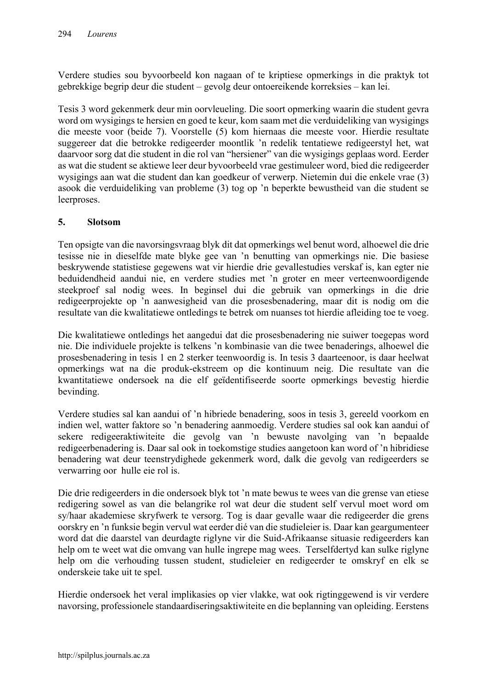Verdere studies sou byvoorbeeld kon nagaan of te kriptiese opmerkings in die praktyk tot gebrekkige begrip deur die student – gevolg deur ontoereikende korreksies – kan lei.

Tesis 3 word gekenmerk deur min oorvleueling. Die soort opmerking waarin die student gevra word om wysigings te hersien en goed te keur, kom saam met die verduideliking van wysigings die meeste voor (beide 7). Voorstelle (5) kom hiernaas die meeste voor. Hierdie resultate suggereer dat die betrokke redigeerder moontlik 'n redelik tentatiewe redigeerstyl het, wat daarvoor sorg dat die student in die rol van "hersiener" van die wysigings geplaas word. Eerder as wat die student se aktiewe leer deur byvoorbeeld vrae gestimuleer word, bied die redigeerder wysigings aan wat die student dan kan goedkeur of verwerp. Nietemin dui die enkele vrae (3) asook die verduideliking van probleme (3) tog op 'n beperkte bewustheid van die student se leerproses.

### 5. Slotsom

Ten opsigte van die navorsingsvraag blyk dit dat opmerkings wel benut word, alhoewel die drie tesisse nie in dieselfde mate blyke gee van 'n benutting van opmerkings nie. Die basiese beskrywende statistiese gegewens wat vir hierdie drie gevallestudies verskaf is, kan egter nie beduidendheid aandui nie, en verdere studies met 'n groter en meer verteenwoordigende steekproef sal nodig wees. In beginsel dui die gebruik van opmerkings in die drie redigeerprojekte op 'n aanwesigheid van die prosesbenadering, maar dit is nodig om die resultate van die kwalitatiewe ontledings te betrek om nuanses tot hierdie afleiding toe te voeg.

Die kwalitatiewe ontledings het aangedui dat die prosesbenadering nie suiwer toegepas word nie. Die individuele projekte is telkens 'n kombinasie van die twee benaderings, alhoewel die prosesbenadering in tesis 1 en 2 sterker teenwoordig is. In tesis 3 daarteenoor, is daar heelwat opmerkings wat na die produk-ekstreem op die kontinuum neig. Die resultate van die kwantitatiewe ondersoek na die elf geïdentifiseerde soorte opmerkings bevestig hierdie bevinding.

Verdere studies sal kan aandui of 'n hibriede benadering, soos in tesis 3, gereeld voorkom en indien wel, watter faktore so 'n benadering aanmoedig. Verdere studies sal ook kan aandui of sekere redigeeraktiwiteite die gevolg van 'n bewuste navolging van 'n bepaalde redigeerbenadering is. Daar sal ook in toekomstige studies aangetoon kan word of 'n hibridiese benadering wat deur teenstrydighede gekenmerk word, dalk die gevolg van redigeerders se verwarring oor hulle eie rol is.

Die drie redigeerders in die ondersoek blyk tot 'n mate bewus te wees van die grense van etiese redigering sowel as van die belangrike rol wat deur die student self vervul moet word om sy/haar akademiese skryfwerk te versorg. Tog is daar gevalle waar die redigeerder die grens oorskry en 'n funksie begin vervul wat eerder dié van die studieleier is. Daar kan geargumenteer word dat die daarstel van deurdagte riglyne vir die Suid-Afrikaanse situasie redigeerders kan help om te weet wat die omvang van hulle ingrepe mag wees. Terselfdertyd kan sulke riglyne help om die verhouding tussen student, studieleier en redigeerder te omskryf en elk se onderskeie take uit te spel.

Hierdie ondersoek het veral implikasies op vier vlakke, wat ook rigtinggewend is vir verdere navorsing, professionele standaardiseringsaktiwiteite en die beplanning van opleiding. Eerstens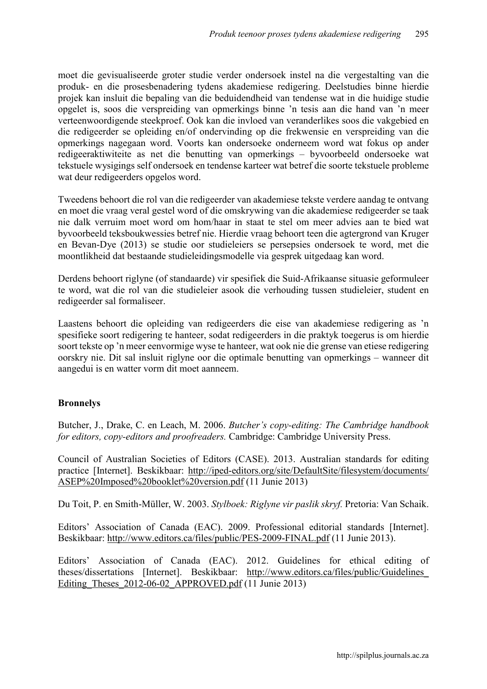moet die gevisualiseerde groter studie verder ondersoek instel na die vergestalting van die produk- en die prosesbenadering tydens akademiese redigering. Deelstudies binne hierdie projek kan insluit die bepaling van die beduidendheid van tendense wat in die huidige studie opgelet is, soos die verspreiding van opmerkings binne 'n tesis aan die hand van 'n meer verteenwoordigende steekproef. Ook kan die invloed van veranderlikes soos die vakgebied en die redigeerder se opleiding en/of ondervinding op die frekwensie en verspreiding van die opmerkings nagegaan word. Voorts kan ondersoeke onderneem word wat fokus op ander redigeeraktiwiteite as net die benutting van opmerkings – byvoorbeeld ondersoeke wat tekstuele wysigings self ondersoek en tendense karteer wat betref die soorte tekstuele probleme wat deur redigeerders opgelos word.

Tweedens behoort die rol van die redigeerder van akademiese tekste verdere aandag te ontvang en moet die vraag veral gestel word of die omskrywing van die akademiese redigeerder se taak nie dalk verruim moet word om hom/haar in staat te stel om meer advies aan te bied wat byvoorbeeld teksboukwessies betref nie. Hierdie vraag behoort teen die agtergrond van Kruger en Bevan-Dye (2013) se studie oor studieleiers se persepsies ondersoek te word, met die moontlikheid dat bestaande studieleidingsmodelle via gesprek uitgedaag kan word.

Derdens behoort riglyne (of standaarde) vir spesifiek die Suid-Afrikaanse situasie geformuleer te word, wat die rol van die studieleier asook die verhouding tussen studieleier, student en redigeerder sal formaliseer.

Laastens behoort die opleiding van redigeerders die eise van akademiese redigering as 'n spesifieke soort redigering te hanteer, sodat redigeerders in die praktyk toegerus is om hierdie soort tekste op 'n meer eenvormige wyse te hanteer, wat ook nie die grense van etiese redigering oorskry nie. Dit sal insluit riglyne oor die optimale benutting van opmerkings – wanneer dit aangedui is en watter vorm dit moet aanneem.

# Bronnelys

Butcher, J., Drake, C. en Leach, M. 2006. *Butcher's copy-editing: The Cambridge handbook for editors, copy-editors and proofreaders.* Cambridge: Cambridge University Press.

Council of Australian Societies of Editors (CASE). 2013. Australian standards for editing practice [Internet]. Beskikbaar: [http://iped-editors.org/site/DefaultSite/filesystem/documents/](http://iped-editors.org/site/DefaultSite/filesystem/documents/ ASEP Imposed booklet version.pdf)  [ASEP%20Imposed%20booklet%20version.pdf](http://iped-editors.org/site/DefaultSite/filesystem/documents/ ASEP Imposed booklet version.pdf) (11 Junie 2013)

Du Toit, P. en Smith-Müller, W. 2003. *Stylboek: Riglyne vir paslik skryf.* Pretoria: Van Schaik.

Editors' Association of Canada (EAC). 2009. Professional editorial standards [Internet]. Beskikbaar:<http://www.editors.ca/files/public/PES-2009-FINAL.pdf> (11 Junie 2013).

Editors' Association of Canada (EAC). 2012. Guidelines for ethical editing of theses/dissertations [Internet]. Beskikbaar: [http://www.editors.ca/files/public/Guidelines\\_](http://www.editors.ca/files/public/Guidelines_ Editing_Theses_2012-06-02_APPROVED.pdf)  Editing Theses 2012-06-02 APPROVED.pdf (11 Junie 2013)